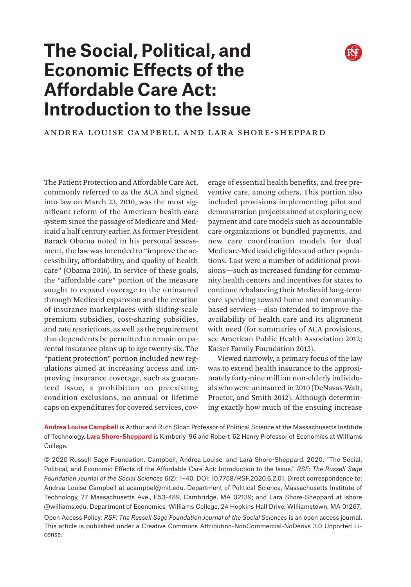

# **The Social, Political, and Economic Effects of the Affordable Care Act: Introduction to the Issue**

ANDREA LOUISE CAMPBELL AND LARA SHORE-SHEPPARD

The Patient Protection and Affordable Care Act, commonly referred to as the ACA and signed into law on March 23, 2010, was the most significant reform of the American health-care system since the passage of Medicare and Medicaid a half century earlier. As former President Barack Obama noted in his personal assessment, the law was intended to "improve the accessibility, affordability, and quality of health care" (Obama 2016). In service of these goals, the "affordable care" portion of the measure sought to expand coverage to the uninsured through Medicaid expansion and the creation of insurance marketplaces with sliding-scale premium subsidies, cost-sharing subsidies, and rate restrictions, as well as the requirement that dependents be permitted to remain on parental insurance plans up to age twenty-six. The "patient protection" portion included new regulations aimed at increasing access and improving insurance coverage, such as guaranteed issue, a prohibition on preexisting condition exclusions, no annual or lifetime caps on expenditures for covered services, coverage of essential health benefits, and free preventive care, among others. This portion also included provisions implementing pilot and demonstration projects aimed at exploring new payment and care models such as accountable care organizations or bundled payments, and new care coordination models for dual Medicare-Medicaid eligibles and other populations. Last were a number of additional provisions—such as increased funding for community health centers and incentives for states to continue rebalancing their Medicaid long-term care spending toward home and communitybased services—also intended to improve the availability of health care and its alignment with need (for summaries of ACA provisions, see American Public Health Association 2012; Kaiser Family Foundation 2013).

Viewed narrowly, a primary focus of the law was to extend health insurance to the approximately forty-nine million non-elderly individuals who were uninsured in 2010 (DeNavas-Walt, Proctor, and Smith 2012). Although determining exactly how much of the ensuing increase

**Andrea Louise Campbell** is Arthur and Ruth Sloan Professor of Political Science at the Massachusetts Institute of Technology. **Lara Shore-Sheppard** is Kimberly '96 and Robert '62 Henry Professor of Economics at Williams College.

© 2020 Russell Sage Foundation. Campbell, Andrea Louise, and Lara Shore-Sheppard. 2020. "The Social, Political, and Economic Effects of the Affordable Care Act: Introduction to the Issue." *RSF: The Russell Sage Foundation Journal of the Social Sciences* 6(2): 1–40. DOI: 10.7758/RSF.2020.6.2.01. Direct correspondence to: Andrea Louise Campbell at acampbel@mit.edu, Department of Political Science, Massachusetts Institute of Technology, 77 Massachusetts Ave., E53-489, Cambridge, MA 02139; and Lara Shore-Sheppard at [lshore](mailto:lshore%40williams.edu?subject=) [@williams.edu](mailto:lshore%40williams.edu?subject=), Department of Economics, Williams College, 24 Hopkins Hall Drive, Williamstown, MA 01267.

Open Access Policy: *RSF: The Russell Sage Foundation Journal of the Social Sciences* is an open access journal. This article is published under a Creative Commons Attribution-NonCommercial-NoDerivs 3.0 Unported License.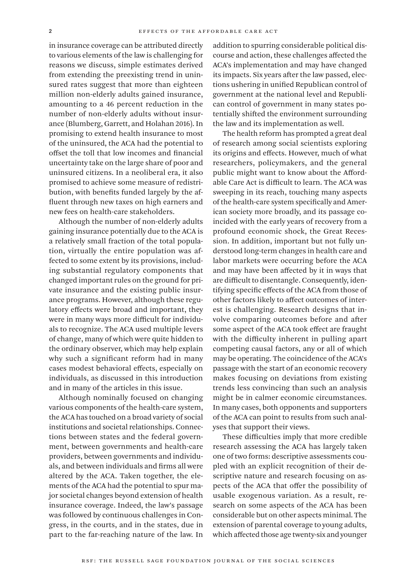in insurance coverage can be attributed directly to various elements of the law is challenging for reasons we discuss, simple estimates derived from extending the preexisting trend in uninsured rates suggest that more than eighteen million non-elderly adults gained insurance, amounting to a 46 percent reduction in the number of non-elderly adults without insurance (Blumberg, Garrett, and Holahan 2016). In promising to extend health insurance to most of the uninsured, the ACA had the potential to offset the toll that low incomes and financial uncertainty take on the large share of poor and uninsured citizens. In a neoliberal era, it also promised to achieve some measure of redistribution, with benefits funded largely by the affluent through new taxes on high earners and new fees on health-care stakeholders.

Although the number of non-elderly adults gaining insurance potentially due to the ACA is a relatively small fraction of the total population, virtually the entire population was affected to some extent by its provisions, including substantial regulatory components that changed important rules on the ground for private insurance and the existing public insurance programs. However, although these regulatory effects were broad and important, they were in many ways more difficult for individuals to recognize. The ACA used multiple levers of change, many of which were quite hidden to the ordinary observer, which may help explain why such a significant reform had in many cases modest behavioral effects, especially on individuals, as discussed in this introduction and in many of the articles in this issue.

Although nominally focused on changing various components of the health-care system, the ACA has touched on a broad variety of social institutions and societal relationships. Connections between states and the federal government, between governments and health-care providers, between governments and individuals, and between individuals and firms all were altered by the ACA. Taken together, the elements of the ACA had the potential to spur major societal changes beyond extension of health insurance coverage. Indeed, the law's passage was followed by continuous challenges in Congress, in the courts, and in the states, due in part to the far-reaching nature of the law. In

addition to spurring considerable political discourse and action, these challenges affected the ACA's implementation and may have changed its impacts. Six years after the law passed, elections ushering in unified Republican control of government at the national level and Republican control of government in many states potentially shifted the environment surrounding the law and its implementation as well.

The health reform has prompted a great deal of research among social scientists exploring its origins and effects. However, much of what researchers, policymakers, and the general public might want to know about the Affordable Care Act is difficult to learn. The ACA was sweeping in its reach, touching many aspects of the health-care system specifically and American society more broadly, and its passage coincided with the early years of recovery from a profound economic shock, the Great Recession. In addition, important but not fully understood long-term changes in health care and labor markets were occurring before the ACA and may have been affected by it in ways that are difficult to disentangle. Consequently, identifying specific effects of the ACA from those of other factors likely to affect outcomes of interest is challenging. Research designs that involve comparing outcomes before and after some aspect of the ACA took effect are fraught with the difficulty inherent in pulling apart competing causal factors, any or all of which may be operating. The coincidence of the ACA's passage with the start of an economic recovery makes focusing on deviations from existing trends less convincing than such an analysis might be in calmer economic circumstances. In many cases, both opponents and supporters of the ACA can point to results from such analyses that support their views.

These difficulties imply that more credible research assessing the ACA has largely taken one of two forms: descriptive assessments coupled with an explicit recognition of their descriptive nature and research focusing on aspects of the ACA that offer the possibility of usable exogenous variation. As a result, research on some aspects of the ACA has been considerable but on other aspects minimal. The extension of parental coverage to young adults, which affected those age twenty-six and younger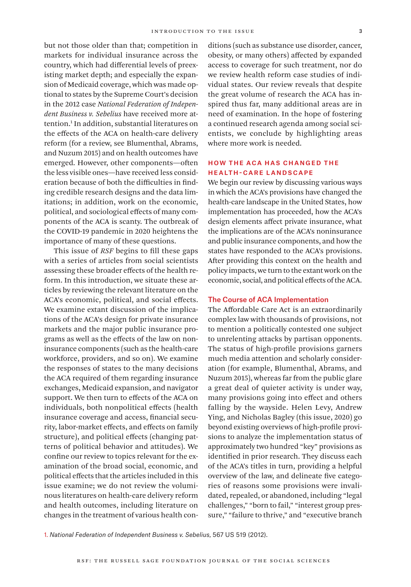but not those older than that; competition in markets for individual insurance across the country, which had differential levels of preexisting market depth; and especially the expansion of Medicaid coverage, which was made optional to states by the Supreme Court's decision in the 2012 case *National Federation of Independent Business v. Sebelius* have received more attention.1 In addition, substantial literatures on the effects of the ACA on health-care delivery reform (for a review, see Blumenthal, Abrams, and Nuzum 2015) and on health outcomes have emerged. However, other components—often the less visible ones—have received less consideration because of both the difficulties in finding credible research designs and the data limitations; in addition, work on the economic, political, and sociological effects of many components of the ACA is scanty. The outbreak of the COVID-19 pandemic in 2020 heightens the importance of many of these questions.

This issue of *RSF* begins to fill these gaps with a series of articles from social scientists assessing these broader effects of the health reform. In this introduction, we situate these articles by reviewing the relevant literature on the ACA's economic, political, and social effects. We examine extant discussion of the implications of the ACA's design for private insurance markets and the major public insurance programs as well as the effects of the law on noninsurance components (such as the health-care workforce, providers, and so on). We examine the responses of states to the many decisions the ACA required of them regarding insurance exchanges, Medicaid expansion, and navigator support. We then turn to effects of the ACA on individuals, both nonpolitical effects (health insurance coverage and access, financial security, labor-market effects, and effects on family structure), and political effects (changing patterns of political behavior and attitudes). We confine our review to topics relevant for the examination of the broad social, economic, and political effects that the articles included in this issue examine; we do not review the voluminous literatures on health-care delivery reform and health outcomes, including literature on changes in the treatment of various health conditions (such as substance use disorder, cancer, obesity, or many others) affected by expanded access to coverage for such treatment, nor do we review health reform case studies of individual states. Our review reveals that despite the great volume of research the ACA has inspired thus far, many additional areas are in need of examination. In the hope of fostering a continued research agenda among social scientists, we conclude by highlighting areas where more work is needed.

# How the ACA Has Changed the Health-Care Landscape

We begin our review by discussing various ways in which the ACA's provisions have changed the health-care landscape in the United States, how implementation has proceeded, how the ACA's design elements affect private insurance, what the implications are of the ACA's noninsurance and public insurance components, and how the states have responded to the ACA's provisions. After providing this context on the health and policy impacts, we turn to the extant work on the economic, social, and political effects of the ACA.

#### The Course of ACA Implementation

The Affordable Care Act is an extraordinarily complex law with thousands of provisions, not to mention a politically contested one subject to unrelenting attacks by partisan opponents. The status of high-profile provisions garners much media attention and scholarly consideration (for example, Blumenthal, Abrams, and Nuzum 2015), whereas far from the public glare a great deal of quieter activity is under way, many provisions going into effect and others falling by the wayside. Helen Levy, Andrew Ying, and Nicholas Bagley (this issue, 2020) go beyond existing overviews of high-profile provisions to analyze the implementation status of approximately two hundred "key" provisions as identified in prior research. They discuss each of the ACA's titles in turn, providing a helpful overview of the law, and delineate five categories of reasons some provisions were invalidated, repealed, or abandoned, including "legal challenges," "born to fail," "interest group pressure," "failure to thrive," and "executive branch

1. *National Federation of Independent Business v. Sebelius*, 567 US 519 (2012).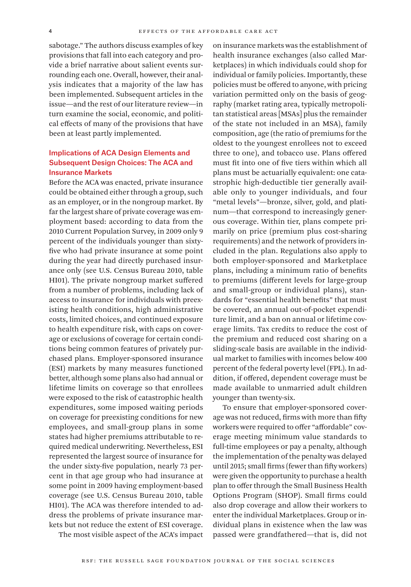sabotage." The authors discuss examples of key provisions that fall into each category and provide a brief narrative about salient events surrounding each one. Overall, however, their analysis indicates that a majority of the law has been implemented. Subsequent articles in the issue—and the rest of our literature review—in turn examine the social, economic, and political effects of many of the provisions that have been at least partly implemented.

# Implications of ACA Design Elements and Subsequent Design Choices: The ACA and Insurance Markets

Before the ACA was enacted, private insurance could be obtained either through a group, such as an employer, or in the nongroup market. By far the largest share of private coverage was employment based: according to data from the 2010 Current Population Survey, in 2009 only 9 percent of the individuals younger than sixtyfive who had private insurance at some point during the year had directly purchased insurance only (see U.S. Census Bureau 2010, table HI01). The private nongroup market suffered from a number of problems, including lack of access to insurance for individuals with preexisting health conditions, high administrative costs, limited choices, and continued exposure to health expenditure risk, with caps on coverage or exclusions of coverage for certain conditions being common features of privately purchased plans. Employer-sponsored insurance (ESI) markets by many measures functioned better, although some plans also had annual or lifetime limits on coverage so that enrollees were exposed to the risk of catastrophic health expenditures, some imposed waiting periods on coverage for preexisting conditions for new employees, and small-group plans in some states had higher premiums attributable to required medical underwriting. Nevertheless, ESI represented the largest source of insurance for the under sixty-five population, nearly 73 percent in that age group who had insurance at some point in 2009 having employment-based coverage (see U.S. Census Bureau 2010, table HI01). The ACA was therefore intended to address the problems of private insurance markets but not reduce the extent of ESI coverage.

The most visible aspect of the ACA's impact

on insurance markets was the establishment of health insurance exchanges (also called Marketplaces) in which individuals could shop for individual or family policies. Importantly, these policies must be offered to anyone, with pricing variation permitted only on the basis of geography (market rating area, typically metropolitan statistical areas [MSAs] plus the remainder of the state not included in an MSA), family composition, age (the ratio of premiums for the oldest to the youngest enrollees not to exceed three to one), and tobacco use. Plans offered must fit into one of five tiers within which all plans must be actuarially equivalent: one catastrophic high-deductible tier generally available only to younger individuals, and four "metal levels"—bronze, silver, gold, and platinum—that correspond to increasingly generous coverage. Within tier, plans compete primarily on price (premium plus cost-sharing requirements) and the network of providers included in the plan. Regulations also apply to both employer-sponsored and Marketplace plans, including a minimum ratio of benefits to premiums (different levels for large-group and small-group or individual plans), standards for "essential health benefits" that must be covered, an annual out-of-pocket expenditure limit, and a ban on annual or lifetime coverage limits. Tax credits to reduce the cost of the premium and reduced cost sharing on a sliding-scale basis are available in the individual market to families with incomes below 400 percent of the federal poverty level (FPL). In addition, if offered, dependent coverage must be made available to unmarried adult children younger than twenty-six.

To ensure that employer-sponsored coverage was not reduced, firms with more than fifty workers were required to offer "affordable" coverage meeting minimum value standards to full-time employees or pay a penalty, although the implementation of the penalty was delayed until 2015; small firms (fewer than fifty workers) were given the opportunity to purchase a health plan to offer through the Small Business Health Options Program (SHOP). Small firms could also drop coverage and allow their workers to enter the individual Marketplaces. Group or individual plans in existence when the law was passed were grandfathered—that is, did not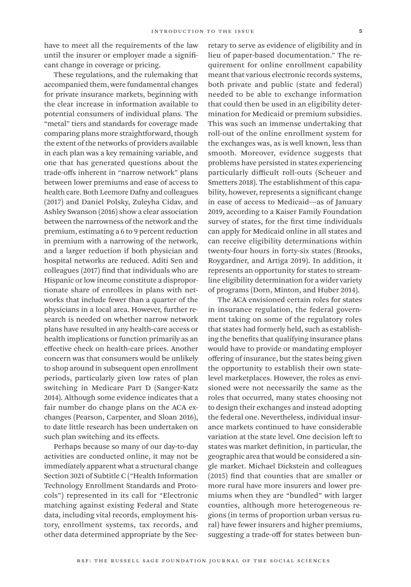have to meet all the requirements of the law until the insurer or employer made a significant change in coverage or pricing.

These regulations, and the rulemaking that accompanied them, were fundamental changes for private insurance markets, beginning with the clear increase in information available to potential consumers of individual plans. The "metal" tiers and standards for coverage made comparing plans more straightforward, though the extent of the networks of providers available in each plan was a key remaining variable, and one that has generated questions about the trade-offs inherent in "narrow network" plans between lower premiums and ease of access to health care. Both Leemore Dafny and colleagues (2017) and Daniel Polsky, Zuleyha Cidav, and Ashley Swanson (2016) show a clear association between the narrowness of the network and the premium, estimating a 6 to 9 percent reduction in premium with a narrowing of the network, and a larger reduction if both physician and hospital networks are reduced. Aditi Sen and colleagues (2017) find that individuals who are Hispanic or low income constitute a disproportionate share of enrollees in plans with networks that include fewer than a quarter of the physicians in a local area. However, further research is needed on whether narrow network plans have resulted in any health-care access or health implications or function primarily as an effective check on health-care prices. Another concern was that consumers would be unlikely to shop around in subsequent open enrollment periods, particularly given low rates of plan switching in Medicare Part D (Sanger-Katz 2014). Although some evidence indicates that a fair number do change plans on the ACA exchanges (Pearson, Carpenter, and Sloan 2016), to date little research has been undertaken on such plan switching and its effects.

Perhaps because so many of our day-to-day activities are conducted online, it may not be immediately apparent what a structural change Section 3021 of Subtitle C ("Health Information Technology Enrollment Standards and Protocols") represented in its call for "Electronic matching against existing Federal and State data, including vital records, employment history, enrollment systems, tax records, and other data determined appropriate by the Secretary to serve as evidence of eligibility and in lieu of paper-based documentation." The requirement for online enrollment capability meant that various electronic records systems, both private and public (state and federal) needed to be able to exchange information that could then be used in an eligibility determination for Medicaid or premium subsidies. This was such an immense undertaking that roll-out of the online enrollment system for the exchanges was, as is well known, less than smooth. Moreover, evidence suggests that problems have persisted in states experiencing particularly difficult roll-outs (Scheuer and Smetters 2018). The establishment of this capability, however, represents a significant change in ease of access to Medicaid—as of January 2019, according to a Kaiser Family Foundation survey of states, for the first time individuals can apply for Medicaid online in all states and can receive eligibility determinations within twenty-four hours in forty-six states (Brooks, Roygardner, and Artiga 2019). In addition, it represents an opportunity for states to streamline eligibility determination for a wider variety of programs (Dorn, Minton, and Huber 2014).

The ACA envisioned certain roles for states in insurance regulation, the federal government taking on some of the regulatory roles that states had formerly held, such as establishing the benefits that qualifying insurance plans would have to provide or mandating employer offering of insurance, but the states being given the opportunity to establish their own statelevel marketplaces. However, the roles as envisioned were not necessarily the same as the roles that occurred, many states choosing not to design their exchanges and instead adopting the federal one. Nevertheless, individual insurance markets continued to have considerable variation at the state level. One decision left to states was market definition, in particular, the geographic area that would be considered a single market. Michael Dickstein and colleagues (2015) find that counties that are smaller or more rural have more insurers and lower premiums when they are "bundled" with larger counties, although more heterogeneous regions (in terms of proportion urban versus rural) have fewer insurers and higher premiums, suggesting a trade-off for states between bun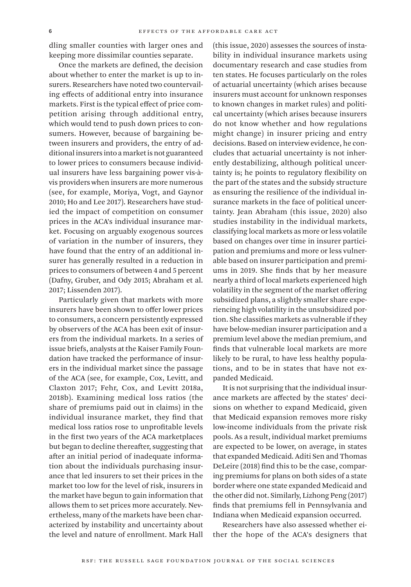dling smaller counties with larger ones and keeping more dissimilar counties separate.

Once the markets are defined, the decision about whether to enter the market is up to insurers. Researchers have noted two countervailing effects of additional entry into insurance markets. First is the typical effect of price competition arising through additional entry, which would tend to push down prices to consumers. However, because of bargaining between insurers and providers, the entry of additional insurers into a market is not guaranteed to lower prices to consumers because individual insurers have less bargaining power vis-àvis providers when insurers are more numerous (see, for example, Moriya, Vogt, and Gaynor 2010; Ho and Lee 2017). Researchers have studied the impact of competition on consumer prices in the ACA's individual insurance market. Focusing on arguably exogenous sources of variation in the number of insurers, they have found that the entry of an additional insurer has generally resulted in a reduction in prices to consumers of between 4 and 5 percent (Dafny, Gruber, and Ody 2015; Abraham et al. 2017; Lissenden 2017).

Particularly given that markets with more insurers have been shown to offer lower prices to consumers, a concern persistently expressed by observers of the ACA has been exit of insurers from the individual markets. In a series of issue briefs, analysts at the Kaiser Family Foundation have tracked the performance of insurers in the individual market since the passage of the ACA (see, for example, Cox, Levitt, and Claxton 2017; Fehr, Cox, and Levitt 2018a, 2018b). Examining medical loss ratios (the share of premiums paid out in claims) in the individual insurance market, they find that medical loss ratios rose to unprofitable levels in the first two years of the ACA marketplaces but began to decline thereafter, suggesting that after an initial period of inadequate information about the individuals purchasing insurance that led insurers to set their prices in the market too low for the level of risk, insurers in the market have begun to gain information that allows them to set prices more accurately. Nevertheless, many of the markets have been characterized by instability and uncertainty about the level and nature of enrollment. Mark Hall

(this issue, 2020) assesses the sources of instability in individual insurance markets using documentary research and case studies from ten states. He focuses particularly on the roles of actuarial uncertainty (which arises because insurers must account for unknown responses to known changes in market rules) and political uncertainty (which arises because insurers do not know whether and how regulations might change) in insurer pricing and entry decisions. Based on interview evidence, he concludes that actuarial uncertainty is not inherently destabilizing, although political uncertainty is; he points to regulatory flexibility on the part of the states and the subsidy structure as ensuring the resilience of the individual insurance markets in the face of political uncertainty. Jean Abraham (this issue, 2020) also studies instability in the individual markets, classifying local markets as more or less volatile based on changes over time in insurer participation and premiums and more or less vulnerable based on insurer participation and premiums in 2019. She finds that by her measure nearly a third of local markets experienced high volatility in the segment of the market offering subsidized plans, a slightly smaller share experiencing high volatility in the unsubsidized portion. She classifies markets as vulnerable if they have below-median insurer participation and a premium level above the median premium, and finds that vulnerable local markets are more likely to be rural, to have less healthy populations, and to be in states that have not expanded Medicaid.

It is not surprising that the individual insurance markets are affected by the states' decisions on whether to expand Medicaid, given that Medicaid expansion removes more risky low-income individuals from the private risk pools. As a result, individual market premiums are expected to be lower, on average, in states that expanded Medicaid. Aditi Sen and Thomas DeLeire (2018) find this to be the case, comparing premiums for plans on both sides of a state border where one state expanded Medicaid and the other did not. Similarly, Lizhong Peng (2017) finds that premiums fell in Pennsylvania and Indiana when Medicaid expansion occurred.

Researchers have also assessed whether either the hope of the ACA's designers that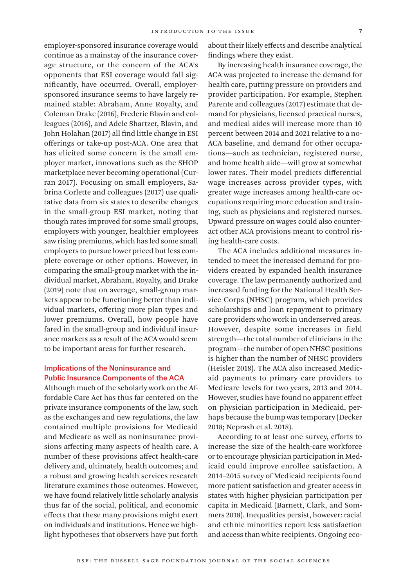employer-sponsored insurance coverage would continue as a mainstay of the insurance coverage structure, or the concern of the ACA's opponents that ESI coverage would fall significantly, have occurred. Overall, employersponsored insurance seems to have largely remained stable: Abraham, Anne Royalty, and Coleman Drake (2016), Frederic Blavin and colleagues (2016), and Adele Shartzer, Blavin, and John Holahan (2017) all find little change in ESI offerings or take-up post-ACA. One area that has elicited some concern is the small employer market, innovations such as the SHOP marketplace never becoming operational (Curran 2017). Focusing on small employers, Sabrina Corlette and colleagues (2017) use qualitative data from six states to describe changes in the small-group ESI market, noting that though rates improved for some small groups, employers with younger, healthier employees saw rising premiums, which has led some small employers to pursue lower priced but less complete coverage or other options. However, in comparing the small-group market with the individual market, Abraham, Royalty, and Drake (2019) note that on average, small-group markets appear to be functioning better than individual markets, offering more plan types and lower premiums. Overall, how people have fared in the small-group and individual insurance markets as a result of the ACA would seem to be important areas for further research.

# Implications of the Noninsurance and Public Insurance Components of the ACA

Although much of the scholarly work on the Affordable Care Act has thus far centered on the private insurance components of the law, such as the exchanges and new regulations, the law contained multiple provisions for Medicaid and Medicare as well as noninsurance provisions affecting many aspects of health care. A number of these provisions affect health-care delivery and, ultimately, health outcomes; and a robust and growing health services research literature examines those outcomes. However, we have found relatively little scholarly analysis thus far of the social, political, and economic effects that these many provisions might exert on individuals and institutions. Hence we highlight hypotheses that observers have put forth

about their likely effects and describe analytical findings where they exist.

By increasing health insurance coverage, the ACA was projected to increase the demand for health care, putting pressure on providers and provider participation. For example, Stephen Parente and colleagues (2017) estimate that demand for physicians, licensed practical nurses, and medical aides will increase more than 10 percent between 2014 and 2021 relative to a no-ACA baseline, and demand for other occupations—such as technician, registered nurse, and home health aide—will grow at somewhat lower rates. Their model predicts differential wage increases across provider types, with greater wage increases among health-care occupations requiring more education and training, such as physicians and registered nurses. Upward pressure on wages could also counteract other ACA provisions meant to control rising health-care costs.

The ACA includes additional measures intended to meet the increased demand for providers created by expanded health insurance coverage. The law permanently authorized and increased funding for the National Health Service Corps (NHSC) program, which provides scholarships and loan repayment to primary care providers who work in underserved areas. However, despite some increases in field strength—the total number of clinicians in the program—the number of open NHSC positions is higher than the number of NHSC providers (Heisler 2018). The ACA also increased Medicaid payments to primary care providers to Medicare levels for two years, 2013 and 2014. However, studies have found no apparent effect on physician participation in Medicaid, perhaps because the bump was temporary (Decker 2018; Neprash et al. 2018).

According to at least one survey, efforts to increase the size of the health-care workforce or to encourage physician participation in Medicaid could improve enrollee satisfaction. A 2014–2015 survey of Medicaid recipients found more patient satisfaction and greater access in states with higher physician participation per capita in Medicaid (Barnett, Clark, and Sommers 2018). Inequalities persist, however: racial and ethnic minorities report less satisfaction and access than white recipients. Ongoing eco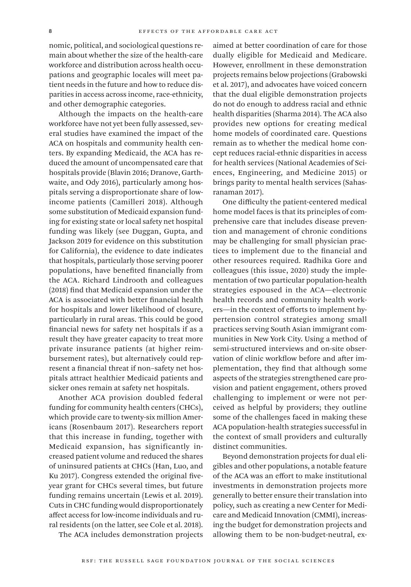nomic, political, and sociological questions remain about whether the size of the health-care workforce and distribution across health occupations and geographic locales will meet patient needs in the future and how to reduce disparities in access across income, race-ethnicity, and other demographic categories.

Although the impacts on the health-care workforce have not yet been fully assessed, several studies have examined the impact of the ACA on hospitals and community health centers. By expanding Medicaid, the ACA has reduced the amount of uncompensated care that hospitals provide (Blavin 2016; Dranove, Garthwaite, and Ody 2016), particularly among hospitals serving a disproportionate share of lowincome patients (Camilleri 2018). Although some substitution of Medicaid expansion funding for existing state or local safety net hospital funding was likely (see Duggan, Gupta, and Jackson 2019 for evidence on this substitution for California), the evidence to date indicates that hospitals, particularly those serving poorer populations, have benefited financially from the ACA. Richard Lindrooth and colleagues (2018) find that Medicaid expansion under the ACA is associated with better financial health for hospitals and lower likelihood of closure, particularly in rural areas. This could be good financial news for safety net hospitals if as a result they have greater capacity to treat more private insurance patients (at higher reimbursement rates), but alternatively could represent a financial threat if non–safety net hospitals attract healthier Medicaid patients and sicker ones remain at safety net hospitals.

Another ACA provision doubled federal funding for community health centers (CHCs), which provide care to twenty-six million Americans (Rosenbaum 2017). Researchers report that this increase in funding, together with Medicaid expansion, has significantly increased patient volume and reduced the shares of uninsured patients at CHCs (Han, Luo, and Ku 2017). Congress extended the original fiveyear grant for CHCs several times, but future funding remains uncertain (Lewis et al. 2019). Cuts in CHC funding would disproportionately affect access for low-income individuals and rural residents (on the latter, see Cole et al. 2018).

The ACA includes demonstration projects

aimed at better coordination of care for those dually eligible for Medicaid and Medicare. However, enrollment in these demonstration projects remains below projections (Grabowski et al. 2017), and advocates have voiced concern that the dual eligible demonstration projects do not do enough to address racial and ethnic health disparities (Sharma 2014). The ACA also provides new options for creating medical home models of coordinated care. Questions remain as to whether the medical home concept reduces racial-ethnic disparities in access for health services (National Academies of Sciences, Engineering, and Medicine 2015) or brings parity to mental health services (Sahasranaman 2017).

One difficulty the patient-centered medical home model faces is that its principles of comprehensive care that includes disease prevention and management of chronic conditions may be challenging for small physician practices to implement due to the financial and other resources required. Radhika Gore and colleagues (this issue, 2020) study the implementation of two particular population-health strategies espoused in the ACA—electronic health records and community health workers—in the context of efforts to implement hypertension control strategies among small practices serving South Asian immigrant communities in New York City. Using a method of semi-structured interviews and on-site observation of clinic workflow before and after implementation, they find that although some aspects of the strategies strengthened care provision and patient engagement, others proved challenging to implement or were not perceived as helpful by providers; they outline some of the challenges faced in making these ACA population-health strategies successful in the context of small providers and culturally distinct communities.

Beyond demonstration projects for dual eligibles and other populations, a notable feature of the ACA was an effort to make institutional investments in demonstration projects more generally to better ensure their translation into policy, such as creating a new Center for Medicare and Medicaid Innovation (CMMI), increasing the budget for demonstration projects and allowing them to be non-budget-neutral, ex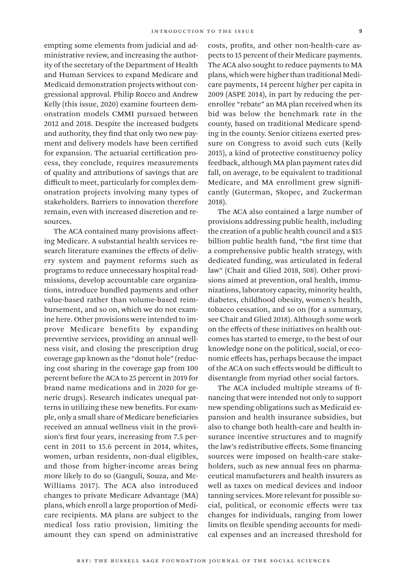empting some elements from judicial and administrative review, and increasing the authority of the secretary of the Department of Health and Human Services to expand Medicare and Medicaid demonstration projects without congressional approval. Philip Rocco and Andrew Kelly (this issue, 2020) examine fourteen demonstration models CMMI pursued between 2012 and 2018. Despite the increased budgets and authority, they find that only two new payment and delivery models have been certified for expansion. The actuarial certification process, they conclude, requires measurements of quality and attributions of savings that are difficult to meet, particularly for complex demonstration projects involving many types of stakeholders. Barriers to innovation therefore remain, even with increased discretion and resources.

The ACA contained many provisions affecting Medicare. A substantial health services research literature examines the effects of delivery system and payment reforms such as programs to reduce unnecessary hospital readmissions, develop accountable care organizations, introduce bundled payments and other value-based rather than volume-based reimbursement, and so on, which we do not examine here. Other provisions were intended to improve Medicare benefits by expanding preventive services, providing an annual wellness visit, and closing the prescription drug coverage gap known as the "donut hole" (reducing cost sharing in the coverage gap from 100 percent before the ACA to 25 percent in 2019 for brand name medications and in 2020 for generic drugs). Research indicates unequal patterns in utilizing these new benefits. For example, only a small share of Medicare beneficiaries received an annual wellness visit in the provision's first four years, increasing from 7.5 percent in 2011 to 15.6 percent in 2014, whites, women, urban residents, non-dual eligibles, and those from higher-income areas being more likely to do so (Ganguli, Souza, and Mc-Williams 2017). The ACA also introduced changes to private Medicare Advantage (MA) plans, which enroll a large proportion of Medicare recipients. MA plans are subject to the medical loss ratio provision, limiting the amount they can spend on administrative

costs, profits, and other non-health-care aspects to 15 percent of their Medicare payments. The ACA also sought to reduce payments to MA plans, which were higher than traditional Medicare payments, 14 percent higher per capita in 2009 (ASPE 2014), in part by reducing the perenrollee "rebate" an MA plan received when its bid was below the benchmark rate in the county, based on traditional Medicare spending in the county. Senior citizens exerted pressure on Congress to avoid such cuts (Kelly 2015), a kind of protective constituency policy feedback, although MA plan payment rates did fall, on average, to be equivalent to traditional Medicare, and MA enrollment grew significantly (Guterman, Skopec, and Zuckerman 2018).

The ACA also contained a large number of provisions addressing public health, including the creation of a public health council and a \$15 billion public health fund, "the first time that a comprehensive public health strategy, with dedicated funding, was articulated in federal law" (Chait and Glied 2018, 508). Other provisions aimed at prevention, oral health, immunizations, laboratory capacity, minority health, diabetes, childhood obesity, women's health, tobacco cessation, and so on (for a summary, see Chait and Glied 2018). Although some work on the effects of these initiatives on health outcomes has started to emerge, to the best of our knowledge none on the political, social, or economic effects has, perhaps because the impact of the ACA on such effects would be difficult to disentangle from myriad other social factors.

The ACA included multiple streams of financing that were intended not only to support new spending obligations such as Medicaid expansion and health insurance subsidies, but also to change both health-care and health insurance incentive structures and to magnify the law's redistributive effects. Some financing sources were imposed on health-care stakeholders, such as new annual fees on pharmaceutical manufacturers and health insurers as well as taxes on medical devices and indoor tanning services. More relevant for possible social, political, or economic effects were tax changes for individuals, ranging from lower limits on flexible spending accounts for medical expenses and an increased threshold for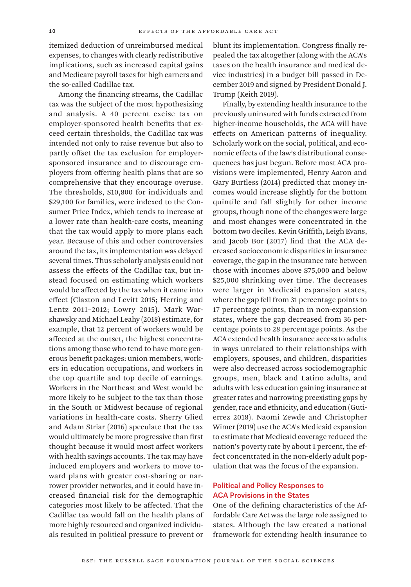itemized deduction of unreimbursed medical expenses, to changes with clearly redistributive implications, such as increased capital gains and Medicare payroll taxes for high earners and the so-called Cadillac tax.

Among the financing streams, the Cadillac tax was the subject of the most hypothesizing and analysis. A 40 percent excise tax on employer-sponsored health benefits that exceed certain thresholds, the Cadillac tax was intended not only to raise revenue but also to partly offset the tax exclusion for employersponsored insurance and to discourage employers from offering health plans that are so comprehensive that they encourage overuse. The thresholds, \$10,800 for individuals and \$29,100 for families, were indexed to the Consumer Price Index, which tends to increase at a lower rate than health-care costs, meaning that the tax would apply to more plans each year. Because of this and other controversies around the tax, its implementation was delayed several times. Thus scholarly analysis could not assess the effects of the Cadillac tax, but instead focused on estimating which workers would be affected by the tax when it came into effect (Claxton and Levitt 2015; Herring and Lentz 2011–2012; Lowry 2015). Mark Warshawsky and Michael Leahy (2018) estimate, for example, that 12 percent of workers would be affected at the outset, the highest concentrations among those who tend to have more generous benefit packages: union members, workers in education occupations, and workers in the top quartile and top decile of earnings. Workers in the Northeast and West would be more likely to be subject to the tax than those in the South or Midwest because of regional variations in health-care costs. Sherry Glied and Adam Striar (2016) speculate that the tax would ultimately be more progressive than first thought because it would most affect workers with health savings accounts. The tax may have induced employers and workers to move toward plans with greater cost-sharing or narrower provider networks, and it could have increased financial risk for the demographic categories most likely to be affected. That the Cadillac tax would fall on the health plans of more highly resourced and organized individuals resulted in political pressure to prevent or

blunt its implementation. Congress finally repealed the tax altogether (along with the ACA's taxes on the health insurance and medical device industries) in a budget bill passed in December 2019 and signed by President Donald J. Trump (Keith 2019).

Finally, by extending health insurance to the previously uninsured with funds extracted from higher-income households, the ACA will have effects on American patterns of inequality. Scholarly work on the social, political, and economic effects of the law's distributional consequences has just begun. Before most ACA provisions were implemented, Henry Aaron and Gary Burtless (2014) predicted that money incomes would increase slightly for the bottom quintile and fall slightly for other income groups, though none of the changes were large and most changes were concentrated in the bottom two deciles. Kevin Griffith, Leigh Evans, and Jacob Bor (2017) find that the ACA decreased socioeconomic disparities in insurance coverage, the gap in the insurance rate between those with incomes above \$75,000 and below \$25,000 shrinking over time. The decreases were larger in Medicaid expansion states, where the gap fell from 31 percentage points to 17 percentage points, than in non-expansion states, where the gap decreased from 36 percentage points to 28 percentage points. As the ACA extended health insurance access to adults in ways unrelated to their relationships with employers, spouses, and children, disparities were also decreased across sociodemographic groups, men, black and Latino adults, and adults with less education gaining insurance at greater rates and narrowing preexisting gaps by gender, race and ethnicity, and education (Gutierrez 2018). Naomi Zewde and Christopher Wimer (2019) use the ACA's Medicaid expansion to estimate that Medicaid coverage reduced the nation's poverty rate by about 1 percent, the effect concentrated in the non-elderly adult population that was the focus of the expansion.

## Political and Policy Responses to ACA Provisions in the States

One of the defining characteristics of the Affordable Care Act was the large role assigned to states. Although the law created a national framework for extending health insurance to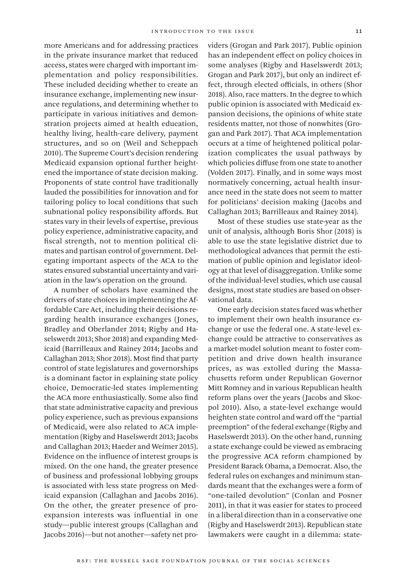more Americans and for addressing practices in the private insurance market that reduced access, states were charged with important implementation and policy responsibilities. These included deciding whether to create an insurance exchange, implementing new insurance regulations, and determining whether to participate in various initiatives and demonstration projects aimed at health education, healthy living, health-care delivery, payment structures, and so on (Weil and Scheppach 2010). The Supreme Court's decision rendering Medicaid expansion optional further heightened the importance of state decision making. Proponents of state control have traditionally lauded the possibilities for innovation and for tailoring policy to local conditions that such subnational policy responsibility affords. But states vary in their levels of expertise, previous policy experience, administrative capacity, and fiscal strength, not to mention political climates and partisan control of government. Delegating important aspects of the ACA to the states ensured substantial uncertainty and variation in the law's operation on the ground.

A number of scholars have examined the drivers of state choices in implementing the Affordable Care Act, including their decisions regarding health insurance exchanges (Jones, Bradley and Oberlander 2014; Rigby and Haselswerdt 2013; Shor 2018) and expanding Medicaid (Barrilleaux and Rainey 2014; Jacobs and Callaghan 2013; Shor 2018). Most find that party control of state legislatures and governorships is a dominant factor in explaining state policy choice, Democratic-led states implementing the ACA more enthusiastically. Some also find that state administrative capacity and previous policy experience, such as previous expansions of Medicaid, were also related to ACA implementation (Rigby and Haselswerdt 2013; Jacobs and Callaghan 2013; Haeder and Weimer 2015). Evidence on the influence of interest groups is mixed. On the one hand, the greater presence of business and professional lobbying groups is associated with less state progress on Medicaid expansion (Callaghan and Jacobs 2016). On the other, the greater presence of proexpansion interests was influential in one study—public interest groups (Callaghan and Jacobs 2016)—but not another—safety net providers (Grogan and Park 2017). Public opinion has an independent effect on policy choices in some analyses (Rigby and Haselswerdt 2013; Grogan and Park 2017), but only an indirect effect, through elected officials, in others (Shor 2018). Also, race matters. In the degree to which public opinion is associated with Medicaid expansion decisions, the opinions of white state residents matter, not those of nonwhites (Grogan and Park 2017). That ACA implementation occurs at a time of heightened political polarization complicates the usual pathways by which policies diffuse from one state to another (Volden 2017). Finally, and in some ways most normatively concerning, actual health insurance need in the state does not seem to matter for politicians' decision making (Jacobs and Callaghan 2013; Barrilleaux and Rainey 2014).

Most of these studies use state-year as the unit of analysis, although Boris Shor (2018) is able to use the state legislative district due to methodological advances that permit the estimation of public opinion and legislator ideology at that level of disaggregation. Unlike some of the individual-level studies, which use causal designs, most state studies are based on observational data.

One early decision states faced was whether to implement their own health insurance exchange or use the federal one. A state-level exchange could be attractive to conservatives as a market-model solution meant to foster competition and drive down health insurance prices, as was extolled during the Massachusetts reform under Republican Governor Mitt Romney and in various Republican health reform plans over the years (Jacobs and Skocpol 2010). Also, a state-level exchange would heighten state control and ward off the "partial preemption" of the federal exchange (Rigby and Haselswerdt 2013). On the other hand, running a state exchange could be viewed as embracing the progressive ACA reform championed by President Barack Obama, a Democrat. Also, the federal rules on exchanges and minimum standards meant that the exchanges were a form of "one-tailed devolution" (Conlan and Posner 2011), in that it was easier for states to proceed in a liberal direction than in a conservative one (Rigby and Haselswerdt 2013). Republican state lawmakers were caught in a dilemma: state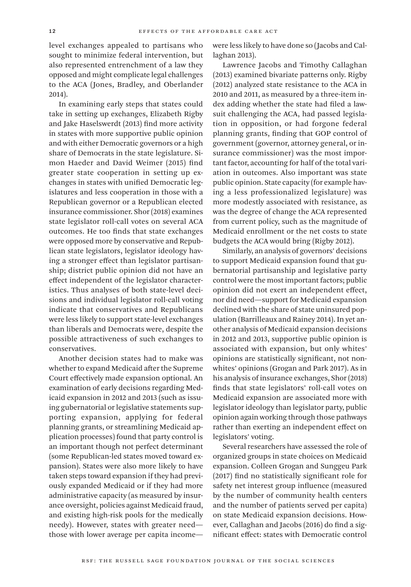level exchanges appealed to partisans who sought to minimize federal intervention, but also represented entrenchment of a law they opposed and might complicate legal challenges to the ACA (Jones, Bradley, and Oberlander 2014).

In examining early steps that states could take in setting up exchanges, Elizabeth Rigby and Jake Haselswerdt (2013) find more activity in states with more supportive public opinion and with either Democratic governors or a high share of Democrats in the state legislature. Simon Haeder and David Weimer (2015) find greater state cooperation in setting up exchanges in states with unified Democratic legislatures and less cooperation in those with a Republican governor or a Republican elected insurance commissioner. Shor (2018) examines state legislator roll-call votes on several ACA outcomes. He too finds that state exchanges were opposed more by conservative and Republican state legislators, legislator ideology having a stronger effect than legislator partisanship; district public opinion did not have an effect independent of the legislator characteristics. Thus analyses of both state-level decisions and individual legislator roll-call voting indicate that conservatives and Republicans were less likely to support state-level exchanges than liberals and Democrats were, despite the possible attractiveness of such exchanges to conservatives.

Another decision states had to make was whether to expand Medicaid after the Supreme Court effectively made expansion optional. An examination of early decisions regarding Medicaid expansion in 2012 and 2013 (such as issuing gubernatorial or legislative statements supporting expansion, applying for federal planning grants, or streamlining Medicaid application processes) found that party control is an important though not perfect determinant (some Republican-led states moved toward expansion). States were also more likely to have taken steps toward expansion if they had previously expanded Medicaid or if they had more administrative capacity (as measured by insurance oversight, policies against Medicaid fraud, and existing high-risk pools for the medically needy). However, states with greater need those with lower average per capita incomewere less likely to have done so (Jacobs and Callaghan 2013).

Lawrence Jacobs and Timothy Callaghan (2013) examined bivariate patterns only. Rigby (2012) analyzed state resistance to the ACA in 2010 and 2011, as measured by a three-item index adding whether the state had filed a lawsuit challenging the ACA, had passed legislation in opposition, or had forgone federal planning grants, finding that GOP control of government (governor, attorney general, or insurance commissioner) was the most important factor, accounting for half of the total variation in outcomes. Also important was state public opinion. State capacity (for example having a less professionalized legislature) was more modestly associated with resistance, as was the degree of change the ACA represented from current policy, such as the magnitude of Medicaid enrollment or the net costs to state budgets the ACA would bring (Rigby 2012).

Similarly, an analysis of governors' decisions to support Medicaid expansion found that gubernatorial partisanship and legislative party control were the most important factors; public opinion did not exert an independent effect, nor did need—support for Medicaid expansion declined with the share of state uninsured population (Barrilleaux and Rainey 2014). In yet another analysis of Medicaid expansion decisions in 2012 and 2013, supportive public opinion is associated with expansion, but only whites' opinions are statistically significant, not nonwhites' opinions (Grogan and Park 2017). As in his analysis of insurance exchanges, Shor (2018) finds that state legislators' roll-call votes on Medicaid expansion are associated more with legislator ideology than legislator party, public opinion again working through those pathways rather than exerting an independent effect on legislators' voting.

Several researchers have assessed the role of organized groups in state choices on Medicaid expansion. Colleen Grogan and Sunggeu Park (2017) find no statistically significant role for safety net interest group influence (measured by the number of community health centers and the number of patients served per capita) on state Medicaid expansion decisions. However, Callaghan and Jacobs (2016) do find a significant effect: states with Democratic control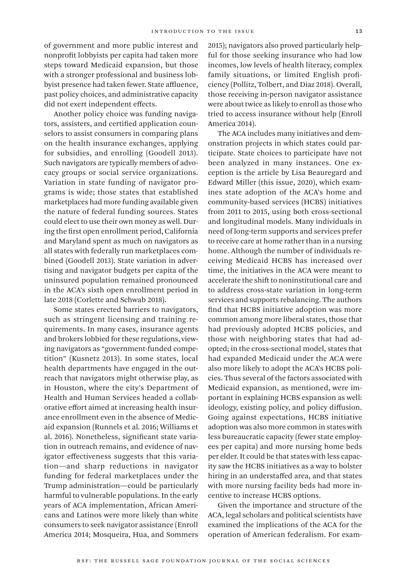of government and more public interest and nonprofit lobbyists per capita had taken more steps toward Medicaid expansion, but those with a stronger professional and business lobbyist presence had taken fewer. State affluence, past policy choices, and administrative capacity did not exert independent effects.

Another policy choice was funding navigators, assisters, and certified application counselors to assist consumers in comparing plans on the health insurance exchanges, applying for subsidies, and enrolling (Goodell 2013). Such navigators are typically members of advocacy groups or social service organizations. Variation in state funding of navigator programs is wide; those states that established marketplaces had more funding available given the nature of federal funding sources. States could elect to use their own money as well. During the first open enrollment period, California and Maryland spent as much on navigators as all states with federally run marketplaces combined (Goodell 2013). State variation in advertising and navigator budgets per capita of the uninsured population remained pronounced in the ACA's sixth open enrollment period in late 2018 (Corlette and Schwab 2018).

Some states erected barriers to navigators, such as stringent licensing and training requirements. In many cases, insurance agents and brokers lobbied for these regulations, viewing navigators as "government-funded competition" (Kusnetz 2013). In some states, local health departments have engaged in the outreach that navigators might otherwise play, as in Houston, where the city's Department of Health and Human Services headed a collaborative effort aimed at increasing health insurance enrollment even in the absence of Medicaid expansion (Runnels et al. 2016; Williams et al. 2016). Nonetheless, significant state variation in outreach remains, and evidence of navigator effectiveness suggests that this variation—and sharp reductions in navigator funding for federal marketplaces under the Trump administration—could be particularly harmful to vulnerable populations. In the early years of ACA implementation, African Americans and Latinos were more likely than white consumers to seek navigator assistance (Enroll America 2014; Mosqueira, Hua, and Sommers

2015); navigators also proved particularly helpful for those seeking insurance who had low incomes, low levels of health literacy, complex family situations, or limited English proficiency (Pollitz, Tolbert, and Diaz 2018). Overall, those receiving in-person navigator assistance were about twice as likely to enroll as those who tried to access insurance without help (Enroll America 2014).

The ACA includes many initiatives and demonstration projects in which states could participate. State choices to participate have not been analyzed in many instances. One exception is the article by Lisa Beauregard and Edward Miller (this issue, 2020), which examines state adoption of the ACA's home and community-based services (HCBS) initiatives from 2011 to 2015, using both cross-sectional and longitudinal models. Many individuals in need of long-term supports and services prefer to receive care at home rather than in a nursing home. Although the number of individuals receiving Medicaid HCBS has increased over time, the initiatives in the ACA were meant to accelerate the shift to noninstitutional care and to address cross-state variation in long-term services and supports rebalancing. The authors find that HCBS initiative adoption was more common among more liberal states, those that had previously adopted HCBS policies, and those with neighboring states that had adopted; in the cross-sectional model, states that had expanded Medicaid under the ACA were also more likely to adopt the ACA's HCBS policies. Thus several of the factors associated with Medicaid expansion, as mentioned, were important in explaining HCBS expansion as well: ideology, existing policy, and policy diffusion. Going against expectations, HCBS initiative adoption was also more common in states with less bureaucratic capacity (fewer state employees per capita) and more nursing home beds per elder. It could be that states with less capacity saw the HCBS initiatives as a way to bolster hiring in an understaffed area, and that states with more nursing facility beds had more incentive to increase HCBS options.

Given the importance and structure of the ACA, legal scholars and political scientists have examined the implications of the ACA for the operation of American federalism. For exam-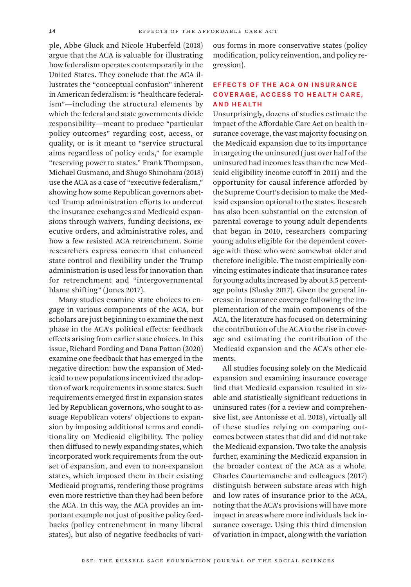ple, Abbe Gluck and Nicole Huberfeld (2018) argue that the ACA is valuable for illustrating how federalism operates contemporarily in the United States. They conclude that the ACA illustrates the "conceptual confusion" inherent in American federalism: is "healthcare federalism"—including the structural elements by which the federal and state governments divide responsibility—meant to produce "particular policy outcomes" regarding cost, access, or quality, or is it meant to "service structural aims regardless of policy ends," for example "reserving power to states." Frank Thompson, Michael Gusmano, and Shugo Shinohara (2018) use the ACA as a case of "executive federalism," showing how some Republican governors abetted Trump administration efforts to undercut the insurance exchanges and Medicaid expansions through waivers, funding decisions, executive orders, and administrative roles, and how a few resisted ACA retrenchment. Some researchers express concern that enhanced state control and flexibility under the Trump administration is used less for innovation than for retrenchment and "intergovernmental blame shifting" (Jones 2017).

Many studies examine state choices to engage in various components of the ACA, but scholars are just beginning to examine the next phase in the ACA's political effects: feedback effects arising from earlier state choices. In this issue, Richard Fording and Dana Patton (2020) examine one feedback that has emerged in the negative direction: how the expansion of Medicaid to new populations incentivized the adoption of work requirements in some states. Such requirements emerged first in expansion states led by Republican governors, who sought to assuage Republican voters' objections to expansion by imposing additional terms and conditionality on Medicaid eligibility. The policy then diffused to newly expanding states, which incorporated work requirements from the outset of expansion, and even to non-expansion states, which imposed them in their existing Medicaid programs, rendering those programs even more restrictive than they had been before the ACA. In this way, the ACA provides an important example not just of positive policy feedbacks (policy entrenchment in many liberal states), but also of negative feedbacks of various forms in more conservative states (policy modification, policy reinvention, and policy regression).

# Effects of the ACA on Insurance Coverage, Access to Health Care, and Health

Unsurprisingly, dozens of studies estimate the impact of the Affordable Care Act on health insurance coverage, the vast majority focusing on the Medicaid expansion due to its importance in targeting the uninsured (just over half of the uninsured had incomes less than the new Medicaid eligibility income cutoff in 2011) and the opportunity for causal inference afforded by the Supreme Court's decision to make the Medicaid expansion optional to the states. Research has also been substantial on the extension of parental coverage to young adult dependents that began in 2010, researchers comparing young adults eligible for the dependent coverage with those who were somewhat older and therefore ineligible. The most empirically convincing estimates indicate that insurance rates for young adults increased by about 3.5 percentage points (Slusky 2017). Given the general increase in insurance coverage following the implementation of the main components of the ACA, the literature has focused on determining the contribution of the ACA to the rise in coverage and estimating the contribution of the Medicaid expansion and the ACA's other elements.

All studies focusing solely on the Medicaid expansion and examining insurance coverage find that Medicaid expansion resulted in sizable and statistically significant reductions in uninsured rates (for a review and comprehensive list, see Antonisse et al. 2018), virtually all of these studies relying on comparing outcomes between states that did and did not take the Medicaid expansion. Two take the analysis further, examining the Medicaid expansion in the broader context of the ACA as a whole. Charles Courtemanche and colleagues (2017) distinguish between substate areas with high and low rates of insurance prior to the ACA, noting that the ACA's provisions will have more impact in areas where more individuals lack insurance coverage. Using this third dimension of variation in impact, along with the variation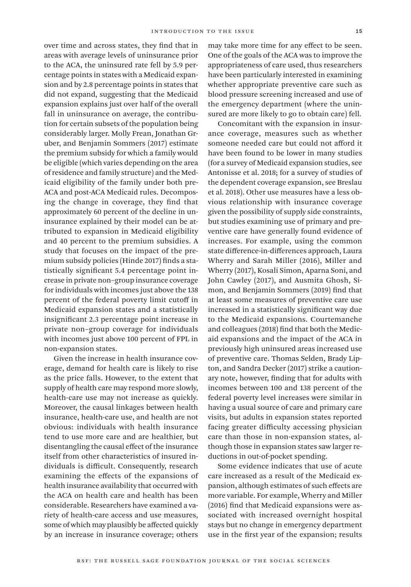over time and across states, they find that in areas with average levels of uninsurance prior to the ACA, the uninsured rate fell by 5.9 percentage points in states with a Medicaid expansion and by 2.8 percentage points in states that did not expand, suggesting that the Medicaid expansion explains just over half of the overall fall in uninsurance on average, the contribution for certain subsets of the population being considerably larger. Molly Frean, Jonathan Gruber, and Benjamin Sommers (2017) estimate the premium subsidy for which a family would be eligible (which varies depending on the area of residence and family structure) and the Medicaid eligibility of the family under both pre-ACA and post-ACA Medicaid rules. Decomposing the change in coverage, they find that approximately 60 percent of the decline in uninsurance explained by their model can be attributed to expansion in Medicaid eligibility and 40 percent to the premium subsidies. A study that focuses on the impact of the premium subsidy policies (Hinde 2017) finds a statistically significant 5.4 percentage point increase in private non–group insurance coverage for individuals with incomes just above the 138 percent of the federal poverty limit cutoff in Medicaid expansion states and a statistically insignificant 2.3 percentage point increase in private non–group coverage for individuals with incomes just above 100 percent of FPL in non-expansion states.

Given the increase in health insurance coverage, demand for health care is likely to rise as the price falls. However, to the extent that supply of health care may respond more slowly, health-care use may not increase as quickly. Moreover, the causal linkages between health insurance, health-care use, and health are not obvious: individuals with health insurance tend to use more care and are healthier, but disentangling the causal effect of the insurance itself from other characteristics of insured individuals is difficult. Consequently, research examining the effects of the expansions of health insurance availability that occurred with the ACA on health care and health has been considerable. Researchers have examined a variety of health-care access and use measures, some of which may plausibly be affected quickly by an increase in insurance coverage; others

may take more time for any effect to be seen. One of the goals of the ACA was to improve the appropriateness of care used, thus researchers have been particularly interested in examining whether appropriate preventive care such as blood pressure screening increased and use of the emergency department (where the uninsured are more likely to go to obtain care) fell.

Concomitant with the expansion in insurance coverage, measures such as whether someone needed care but could not afford it have been found to be lower in many studies (for a survey of Medicaid expansion studies, see Antonisse et al. 2018; for a survey of studies of the dependent coverage expansion, see Breslau et al. 2018). Other use measures have a less obvious relationship with insurance coverage given the possibility of supply side constraints, but studies examining use of primary and preventive care have generally found evidence of increases. For example, using the common state difference-in-differences approach, Laura Wherry and Sarah Miller (2016), Miller and Wherry (2017), Kosali Simon, Aparna Soni, and John Cawley (2017), and Ausmita Ghosh, Simon, and Benjamin Sommers (2019) find that at least some measures of preventive care use increased in a statistically significant way due to the Medicaid expansions. Courtemanche and colleagues (2018) find that both the Medicaid expansions and the impact of the ACA in previously high uninsured areas increased use of preventive care. Thomas Selden, Brady Lipton, and Sandra Decker (2017) strike a cautionary note, however, finding that for adults with incomes between 100 and 138 percent of the federal poverty level increases were similar in having a usual source of care and primary care visits, but adults in expansion states reported facing greater difficulty accessing physician care than those in non-expansion states, although those in expansion states saw larger reductions in out-of-pocket spending.

Some evidence indicates that use of acute care increased as a result of the Medicaid expansion, although estimates of such effects are more variable. For example, Wherry and Miller (2016) find that Medicaid expansions were associated with increased overnight hospital stays but no change in emergency department use in the first year of the expansion; results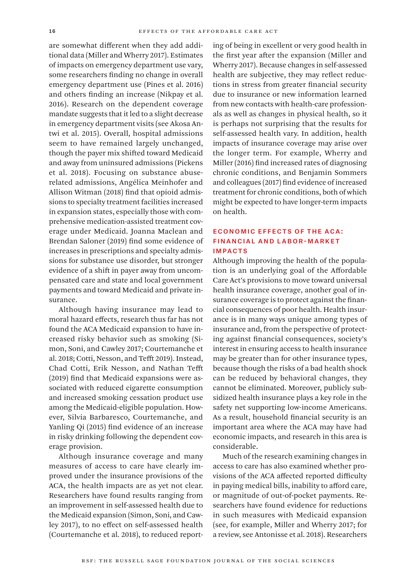are somewhat different when they add additional data (Miller and Wherry 2017). Estimates of impacts on emergency department use vary, some researchers finding no change in overall emergency department use (Pines et al. 2016) and others finding an increase (Nikpay et al. 2016). Research on the dependent coverage mandate suggests that it led to a slight decrease in emergency department visits (see Akosa Antwi et al. 2015). Overall, hospital admissions seem to have remained largely unchanged, though the payer mix shifted toward Medicaid and away from uninsured admissions (Pickens et al. 2018). Focusing on substance abuserelated admissions, Angélica Meinhofer and Allison Witman (2018) find that opioid admissions to specialty treatment facilities increased in expansion states, especially those with comprehensive medication-assisted treatment coverage under Medicaid. Joanna Maclean and Brendan Saloner (2019) find some evidence of increases in prescriptions and specialty admissions for substance use disorder, but stronger evidence of a shift in payer away from uncompensated care and state and local government payments and toward Medicaid and private insurance.

Although having insurance may lead to moral hazard effects, research thus far has not found the ACA Medicaid expansion to have increased risky behavior such as smoking (Simon, Soni, and Cawley 2017; Courtemanche et al. 2018; Cotti, Nesson, and Tefft 2019). Instead, Chad Cotti, Erik Nesson, and Nathan Tefft (2019) find that Medicaid expansions were associated with reduced cigarette consumption and increased smoking cessation product use among the Medicaid-eligible population. However, Silvia Barbaresco, Courtemanche, and Yanling Qi (2015) find evidence of an increase in risky drinking following the dependent coverage provision.

Although insurance coverage and many measures of access to care have clearly improved under the insurance provisions of the ACA, the health impacts are as yet not clear. Researchers have found results ranging from an improvement in self-assessed health due to the Medicaid expansion (Simon, Soni, and Cawley 2017), to no effect on self-assessed health (Courtemanche et al. 2018), to reduced reporting of being in excellent or very good health in the first year after the expansion (Miller and Wherry 2017). Because changes in self-assessed health are subjective, they may reflect reductions in stress from greater financial security due to insurance or new information learned from new contacts with health-care professionals as well as changes in physical health, so it is perhaps not surprising that the results for self-assessed health vary. In addition, health impacts of insurance coverage may arise over the longer term. For example, Wherry and Miller (2016) find increased rates of diagnosing chronic conditions, and Benjamin Sommers and colleagues (2017) find evidence of increased treatment for chronic conditions, both of which might be expected to have longer-term impacts on health.

## Economic Effects of the ACA: Financial and Labor-Market **IMPACTS**

Although improving the health of the population is an underlying goal of the Affordable Care Act's provisions to move toward universal health insurance coverage, another goal of insurance coverage is to protect against the financial consequences of poor health. Health insurance is in many ways unique among types of insurance and, from the perspective of protecting against financial consequences, society's interest in ensuring access to health insurance may be greater than for other insurance types, because though the risks of a bad health shock can be reduced by behavioral changes, they cannot be eliminated. Moreover, publicly subsidized health insurance plays a key role in the safety net supporting low-income Americans. As a result, household financial security is an important area where the ACA may have had economic impacts, and research in this area is considerable.

Much of the research examining changes in access to care has also examined whether provisions of the ACA affected reported difficulty in paying medical bills, inability to afford care, or magnitude of out-of-pocket payments. Researchers have found evidence for reductions in such measures with Medicaid expansion (see, for example, Miller and Wherry 2017; for a review, see Antonisse et al. 2018). Researchers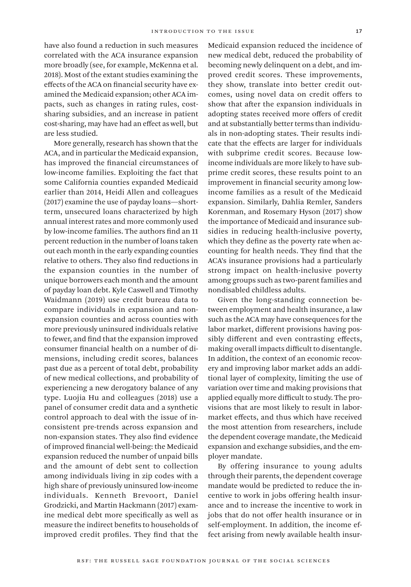have also found a reduction in such measures correlated with the ACA insurance expansion more broadly (see, for example, McKenna et al. 2018). Most of the extant studies examining the effects of the ACA on financial security have examined the Medicaid expansion; other ACA impacts, such as changes in rating rules, costsharing subsidies, and an increase in patient cost-sharing, may have had an effect as well, but are less studied.

More generally, research has shown that the ACA, and in particular the Medicaid expansion, has improved the financial circumstances of low-income families. Exploiting the fact that some California counties expanded Medicaid earlier than 2014, Heidi Allen and colleagues (2017) examine the use of payday loans—shortterm, unsecured loans characterized by high annual interest rates and more commonly used by low-income families. The authors find an 11 percent reduction in the number of loans taken out each month in the early expanding counties relative to others. They also find reductions in the expansion counties in the number of unique borrowers each month and the amount of payday loan debt. Kyle Caswell and Timothy Waidmann (2019) use credit bureau data to compare individuals in expansion and nonexpansion counties and across counties with more previously uninsured individuals relative to fewer, and find that the expansion improved consumer financial health on a number of dimensions, including credit scores, balances past due as a percent of total debt, probability of new medical collections, and probability of experiencing a new derogatory balance of any type. Luojia Hu and colleagues (2018) use a panel of consumer credit data and a synthetic control approach to deal with the issue of inconsistent pre-trends across expansion and non-expansion states. They also find evidence of improved financial well-being: the Medicaid expansion reduced the number of unpaid bills and the amount of debt sent to collection among individuals living in zip codes with a high share of previously uninsured low-income individuals. Kenneth Brevoort, Daniel Grodzicki, and Martin Hackmann (2017) examine medical debt more specifically as well as measure the indirect benefits to households of improved credit profiles. They find that the

Medicaid expansion reduced the incidence of new medical debt, reduced the probability of becoming newly delinquent on a debt, and improved credit scores. These improvements, they show, translate into better credit outcomes, using novel data on credit offers to show that after the expansion individuals in adopting states received more offers of credit and at substantially better terms than individuals in non-adopting states. Their results indicate that the effects are larger for individuals with subprime credit scores. Because lowincome individuals are more likely to have subprime credit scores, these results point to an improvement in financial security among lowincome families as a result of the Medicaid expansion. Similarly, Dahlia Remler, Sanders Korenman, and Rosemary Hyson (2017) show the importance of Medicaid and insurance subsidies in reducing health-inclusive poverty, which they define as the poverty rate when accounting for health needs. They find that the ACA's insurance provisions had a particularly strong impact on health-inclusive poverty among groups such as two-parent families and nondisabled childless adults.

Given the long-standing connection between employment and health insurance, a law such as the ACA may have consequences for the labor market, different provisions having possibly different and even contrasting effects, making overall impacts difficult to disentangle. In addition, the context of an economic recovery and improving labor market adds an additional layer of complexity, limiting the use of variation over time and making provisions that applied equally more difficult to study. The provisions that are most likely to result in labormarket effects, and thus which have received the most attention from researchers, include the dependent coverage mandate, the Medicaid expansion and exchange subsidies, and the employer mandate.

By offering insurance to young adults through their parents, the dependent coverage mandate would be predicted to reduce the incentive to work in jobs offering health insurance and to increase the incentive to work in jobs that do not offer health insurance or in self-employment. In addition, the income effect arising from newly available health insur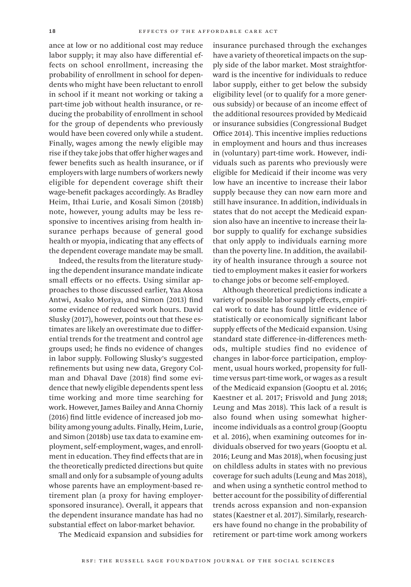ance at low or no additional cost may reduce labor supply; it may also have differential effects on school enrollment, increasing the probability of enrollment in school for dependents who might have been reluctant to enroll in school if it meant not working or taking a part-time job without health insurance, or reducing the probability of enrollment in school for the group of dependents who previously would have been covered only while a student. Finally, wages among the newly eligible may rise if they take jobs that offer higher wages and fewer benefits such as health insurance, or if employers with large numbers of workers newly eligible for dependent coverage shift their wage-benefit packages accordingly. As Bradley Heim, Ithai Lurie, and Kosali Simon (2018b) note, however, young adults may be less responsive to incentives arising from health insurance perhaps because of general good health or myopia, indicating that any effects of the dependent coverage mandate may be small.

Indeed, the results from the literature studying the dependent insurance mandate indicate small effects or no effects. Using similar approaches to those discussed earlier, Yaa Akosa Antwi, Asako Moriya, and Simon (2013) find some evidence of reduced work hours. David Slusky (2017), however, points out that these estimates are likely an overestimate due to differential trends for the treatment and control age groups used; he finds no evidence of changes in labor supply. Following Slusky's suggested refinements but using new data, Gregory Colman and Dhaval Dave (2018) find some evidence that newly eligible dependents spent less time working and more time searching for work. However, James Bailey and Anna Chorniy (2016) find little evidence of increased job mobility among young adults. Finally, Heim, Lurie, and Simon (2018b) use tax data to examine employment, self-employment, wages, and enrollment in education. They find effects that are in the theoretically predicted directions but quite small and only for a subsample of young adults whose parents have an employment-based retirement plan (a proxy for having employersponsored insurance). Overall, it appears that the dependent insurance mandate has had no substantial effect on labor-market behavior.

The Medicaid expansion and subsidies for

insurance purchased through the exchanges have a variety of theoretical impacts on the supply side of the labor market. Most straightforward is the incentive for individuals to reduce labor supply, either to get below the subsidy eligibility level (or to qualify for a more generous subsidy) or because of an income effect of the additional resources provided by Medicaid or insurance subsidies (Congressional Budget Office 2014). This incentive implies reductions in employment and hours and thus increases in (voluntary) part-time work. However, individuals such as parents who previously were eligible for Medicaid if their income was very low have an incentive to increase their labor supply because they can now earn more and still have insurance. In addition, individuals in states that do not accept the Medicaid expansion also have an incentive to increase their labor supply to qualify for exchange subsidies that only apply to individuals earning more than the poverty line. In addition, the availability of health insurance through a source not tied to employment makes it easier for workers to change jobs or become self-employed.

Although theoretical predictions indicate a variety of possible labor supply effects, empirical work to date has found little evidence of statistically or economically significant labor supply effects of the Medicaid expansion. Using standard state difference-in-differences methods, multiple studies find no evidence of changes in labor-force participation, employment, usual hours worked, propensity for fulltime versus part-time work, or wages as a result of the Medicaid expansion (Gooptu et al. 2016; Kaestner et al. 2017; Frisvold and Jung 2018; Leung and Mas 2018). This lack of a result is also found when using somewhat higherincome individuals as a control group (Gooptu et al. 2016), when examining outcomes for individuals observed for two years (Gooptu et al. 2016; Leung and Mas 2018), when focusing just on childless adults in states with no previous coverage for such adults (Leung and Mas 2018), and when using a synthetic control method to better account for the possibility of differential trends across expansion and non-expansion states (Kaestner et al. 2017). Similarly, researchers have found no change in the probability of retirement or part-time work among workers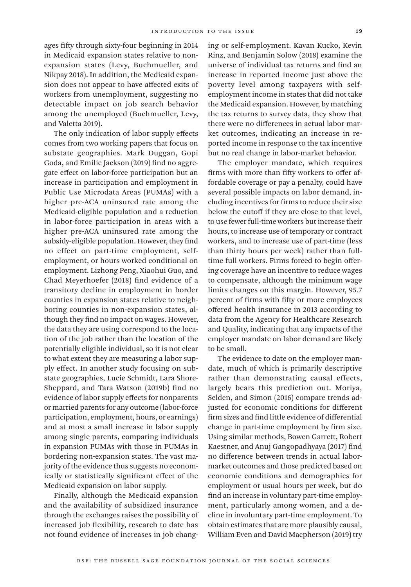ages fifty through sixty-four beginning in 2014 in Medicaid expansion states relative to nonexpansion states (Levy, Buchmueller, and Nikpay 2018). In addition, the Medicaid expansion does not appear to have affected exits of workers from unemployment, suggesting no detectable impact on job search behavior among the unemployed (Buchmueller, Levy, and Valetta 2019).

The only indication of labor supply effects comes from two working papers that focus on substate geographies. Mark Duggan, Gopi Goda, and Emilie Jackson (2019) find no aggregate effect on labor-force participation but an increase in participation and employment in Public Use Microdata Areas (PUMAs) with a higher pre-ACA uninsured rate among the Medicaid-eligible population and a reduction in labor-force participation in areas with a higher pre-ACA uninsured rate among the subsidy-eligible population. However, they find no effect on part-time employment, selfemployment, or hours worked conditional on employment. Lizhong Peng, Xiaohui Guo, and Chad Meyerhoefer (2018) find evidence of a transitory decline in employment in border counties in expansion states relative to neighboring counties in non-expansion states, although they find no impact on wages. However, the data they are using correspond to the location of the job rather than the location of the potentially eligible individual, so it is not clear to what extent they are measuring a labor supply effect. In another study focusing on substate geographies, Lucie Schmidt, Lara Shore-Sheppard, and Tara Watson (2019b) find no evidence of labor supply effects for nonparents or married parents for any outcome (labor-force participation, employment, hours, or earnings) and at most a small increase in labor supply among single parents, comparing individuals in expansion PUMAs with those in PUMAs in bordering non-expansion states. The vast majority of the evidence thus suggests no economically or statistically significant effect of the Medicaid expansion on labor supply.

Finally, although the Medicaid expansion and the availability of subsidized insurance through the exchanges raises the possibility of increased job flexibility, research to date has not found evidence of increases in job changing or self-employment. Kavan Kucko, Kevin Rinz, and Benjamin Solow (2018) examine the universe of individual tax returns and find an increase in reported income just above the poverty level among taxpayers with selfemployment income in states that did not take the Medicaid expansion. However, by matching the tax returns to survey data, they show that there were no differences in actual labor market outcomes, indicating an increase in reported income in response to the tax incentive but no real change in labor-market behavior.

The employer mandate, which requires firms with more than fifty workers to offer affordable coverage or pay a penalty, could have several possible impacts on labor demand, including incentives for firms to reduce their size below the cutoff if they are close to that level, to use fewer full-time workers but increase their hours, to increase use of temporary or contract workers, and to increase use of part-time (less than thirty hours per week) rather than fulltime full workers. Firms forced to begin offering coverage have an incentive to reduce wages to compensate, although the minimum wage limits changes on this margin. However, 95.7 percent of firms with fifty or more employees offered health insurance in 2013 according to data from the Agency for Healthcare Research and Quality, indicating that any impacts of the employer mandate on labor demand are likely to be small.

The evidence to date on the employer mandate, much of which is primarily descriptive rather than demonstrating causal effects, largely bears this prediction out. Moriya, Selden, and Simon (2016) compare trends adjusted for economic conditions for different firm sizes and find little evidence of differential change in part-time employment by firm size. Using similar methods, Bowen Garrett, Robert Kaestner, and Anuj Gangopadhyaya (2017) find no difference between trends in actual labormarket outcomes and those predicted based on economic conditions and demographics for employment or usual hours per week, but do find an increase in voluntary part-time employment, particularly among women, and a decline in involuntary part-time employment. To obtain estimates that are more plausibly causal, William Even and David Macpherson (2019) try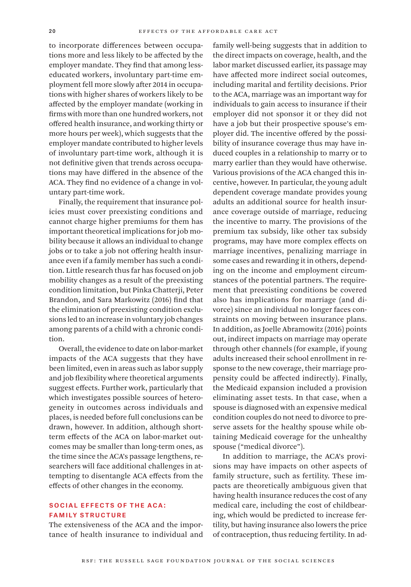to incorporate differences between occupations more and less likely to be affected by the employer mandate. They find that among lesseducated workers, involuntary part-time employment fell more slowly after 2014 in occupations with higher shares of workers likely to be affected by the employer mandate (working in firms with more than one hundred workers, not offered health insurance, and working thirty or more hours per week), which suggests that the employer mandate contributed to higher levels of involuntary part-time work, although it is not definitive given that trends across occupations may have differed in the absence of the ACA. They find no evidence of a change in voluntary part-time work.

Finally, the requirement that insurance policies must cover preexisting conditions and cannot charge higher premiums for them has important theoretical implications for job mobility because it allows an individual to change jobs or to take a job not offering health insurance even if a family member has such a condition. Little research thus far has focused on job mobility changes as a result of the preexisting condition limitation, but Pinka Chatterji, Peter Brandon, and Sara Markowitz (2016) find that the elimination of preexisting condition exclusions led to an increase in voluntary job changes among parents of a child with a chronic condition.

Overall, the evidence to date on labor-market impacts of the ACA suggests that they have been limited, even in areas such as labor supply and job flexibility where theoretical arguments suggest effects. Further work, particularly that which investigates possible sources of heterogeneity in outcomes across individuals and places, is needed before full conclusions can be drawn, however. In addition, although shortterm effects of the ACA on labor-market outcomes may be smaller than long-term ones, as the time since the ACA's passage lengthens, researchers will face additional challenges in attempting to disentangle ACA effects from the effects of other changes in the economy.

#### Social Effects of the ACA: Family Structure

The extensiveness of the ACA and the importance of health insurance to individual and family well-being suggests that in addition to the direct impacts on coverage, health, and the labor market discussed earlier, its passage may have affected more indirect social outcomes, including marital and fertility decisions. Prior to the ACA, marriage was an important way for individuals to gain access to insurance if their employer did not sponsor it or they did not have a job but their prospective spouse's employer did. The incentive offered by the possibility of insurance coverage thus may have induced couples in a relationship to marry or to marry earlier than they would have otherwise. Various provisions of the ACA changed this incentive, however. In particular, the young adult dependent coverage mandate provides young adults an additional source for health insurance coverage outside of marriage, reducing the incentive to marry. The provisions of the premium tax subsidy, like other tax subsidy programs, may have more complex effects on marriage incentives, penalizing marriage in some cases and rewarding it in others, depending on the income and employment circumstances of the potential partners. The requirement that preexisting conditions be covered also has implications for marriage (and divorce) since an individual no longer faces constraints on moving between insurance plans. In addition, as Joelle Abramowitz (2016) points out, indirect impacts on marriage may operate through other channels (for example, if young adults increased their school enrollment in response to the new coverage, their marriage propensity could be affected indirectly). Finally, the Medicaid expansion included a provision eliminating asset tests. In that case, when a spouse is diagnosed with an expensive medical condition couples do not need to divorce to preserve assets for the healthy spouse while obtaining Medicaid coverage for the unhealthy spouse ("medical divorce").

In addition to marriage, the ACA's provisions may have impacts on other aspects of family structure, such as fertility. These impacts are theoretically ambiguous given that having health insurance reduces the cost of any medical care, including the cost of childbearing, which would be predicted to increase fertility, but having insurance also lowers the price of contraception, thus reducing fertility. In ad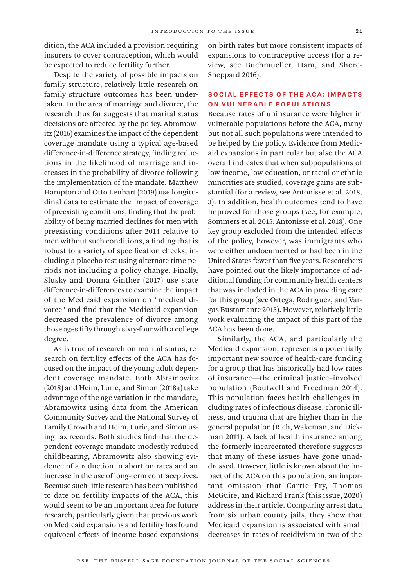dition, the ACA included a provision requiring insurers to cover contraception, which would be expected to reduce fertility further.

Despite the variety of possible impacts on family structure, relatively little research on family structure outcomes has been undertaken. In the area of marriage and divorce, the research thus far suggests that marital status decisions are affected by the policy. Abramowitz (2016) examines the impact of the dependent coverage mandate using a typical age-based difference-in-difference strategy, finding reductions in the likelihood of marriage and increases in the probability of divorce following the implementation of the mandate. Matthew Hampton and Otto Lenhart (2019) use longitudinal data to estimate the impact of coverage of preexisting conditions, finding that the probability of being married declines for men with preexisting conditions after 2014 relative to men without such conditions, a finding that is robust to a variety of specification checks, including a placebo test using alternate time periods not including a policy change. Finally, Slusky and Donna Ginther (2017) use state difference-in-differences to examine the impact of the Medicaid expansion on "medical divorce" and find that the Medicaid expansion decreased the prevalence of divorce among those ages fifty through sixty-four with a college degree.

As is true of research on marital status, research on fertility effects of the ACA has focused on the impact of the young adult dependent coverage mandate. Both Abramowitz (2018) and Heim, Lurie, and Simon (2018a) take advantage of the age variation in the mandate, Abramowitz using data from the American Community Survey and the National Survey of Family Growth and Heim, Lurie, and Simon using tax records. Both studies find that the dependent coverage mandate modestly reduced childbearing, Abramowitz also showing evidence of a reduction in abortion rates and an increase in the use of long-term contraceptives. Because such little research has been published to date on fertility impacts of the ACA, this would seem to be an important area for future research, particularly given that previous work on Medicaid expansions and fertility has found equivocal effects of income-based expansions

on birth rates but more consistent impacts of expansions to contraceptive access (for a review, see Buchmueller, Ham, and Shore-Sheppard 2016).

#### Social Effects of the ACA: Impacts on Vulnerable Populations

Because rates of uninsurance were higher in vulnerable populations before the ACA, many but not all such populations were intended to be helped by the policy. Evidence from Medicaid expansions in particular but also the ACA overall indicates that when subpopulations of low-income, low-education, or racial or ethnic minorities are studied, coverage gains are substantial (for a review, see Antonisse et al. 2018, 3). In addition, health outcomes tend to have improved for those groups (see, for example, Sommers et al. 2015; Antonisse et al. 2018). One key group excluded from the intended effects of the policy, however, was immigrants who were either undocumented or had been in the United States fewer than five years. Researchers have pointed out the likely importance of additional funding for community health centers that was included in the ACA in providing care for this group (see Ortega, Rodriguez, and Vargas Bustamante 2015). However, relatively little work evaluating the impact of this part of the ACA has been done.

Similarly, the ACA, and particularly the Medicaid expansion, represents a potentially important new source of health-care funding for a group that has historically had low rates of insurance—the criminal justice–involved population (Boutwell and Freedman 2014). This population faces health challenges including rates of infectious disease, chronic illness, and trauma that are higher than in the general population (Rich, Wakeman, and Dickman 2011). A lack of health insurance among the formerly incarcerated therefore suggests that many of these issues have gone unaddressed. However, little is known about the impact of the ACA on this population, an important omission that Carrie Fry, Thomas McGuire, and Richard Frank (this issue, 2020) address in their article. Comparing arrest data from six urban county jails, they show that Medicaid expansion is associated with small decreases in rates of recidivism in two of the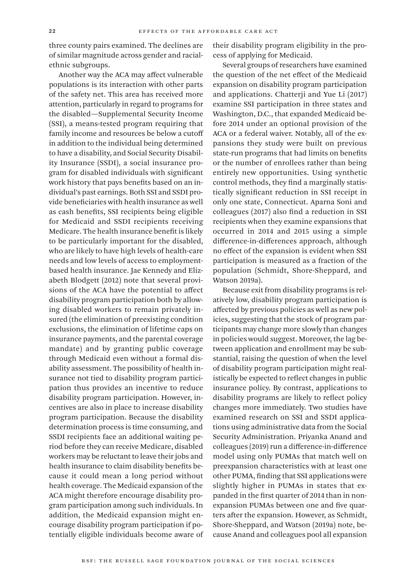three county pairs examined. The declines are of similar magnitude across gender and racialethnic subgroups.

Another way the ACA may affect vulnerable populations is its interaction with other parts of the safety net. This area has received more attention, particularly in regard to programs for the disabled—Supplemental Security Income (SSI), a means-tested program requiring that family income and resources be below a cutoff in addition to the individual being determined to have a disability, and Social Security Disability Insurance (SSDI), a social insurance program for disabled individuals with significant work history that pays benefits based on an individual's past earnings. Both SSI and SSDI provide beneficiaries with health insurance as well as cash benefits, SSI recipients being eligible for Medicaid and SSDI recipients receiving Medicare. The health insurance benefit is likely to be particularly important for the disabled, who are likely to have high levels of health-care needs and low levels of access to employmentbased health insurance. Jae Kennedy and Elizabeth Blodgett (2012) note that several provisions of the ACA have the potential to affect disability program participation both by allowing disabled workers to remain privately insured (the elimination of preexisting condition exclusions, the elimination of lifetime caps on insurance payments, and the parental coverage mandate) and by granting public coverage through Medicaid even without a formal disability assessment. The possibility of health insurance not tied to disability program participation thus provides an incentive to reduce disability program participation. However, incentives are also in place to increase disability program participation. Because the disability determination process is time consuming, and SSDI recipients face an additional waiting period before they can receive Medicare, disabled workers may be reluctant to leave their jobs and health insurance to claim disability benefits because it could mean a long period without health coverage. The Medicaid expansion of the ACA might therefore encourage disability program participation among such individuals. In addition, the Medicaid expansion might encourage disability program participation if potentially eligible individuals become aware of their disability program eligibility in the process of applying for Medicaid.

Several groups of researchers have examined the question of the net effect of the Medicaid expansion on disability program participation and applications. Chatterji and Yue Li (2017) examine SSI participation in three states and Washington, D.C., that expanded Medicaid before 2014 under an optional provision of the ACA or a federal waiver. Notably, all of the expansions they study were built on previous state-run programs that had limits on benefits or the number of enrollees rather than being entirely new opportunities. Using synthetic control methods, they find a marginally statistically significant reduction in SSI receipt in only one state, Connecticut. Aparna Soni and colleagues (2017) also find a reduction in SSI recipients when they examine expansions that occurred in 2014 and 2015 using a simple difference-in-differences approach, although no effect of the expansion is evident when SSI participation is measured as a fraction of the population (Schmidt, Shore-Sheppard, and Watson 2019a).

Because exit from disability programs is relatively low, disability program participation is affected by previous policies as well as new policies, suggesting that the stock of program participants may change more slowly than changes in policies would suggest. Moreover, the lag between application and enrollment may be substantial, raising the question of when the level of disability program participation might realistically be expected to reflect changes in public insurance policy. By contrast, applications to disability programs are likely to reflect policy changes more immediately. Two studies have examined research on SSI and SSDI applications using administrative data from the Social Security Administration. Priyanka Anand and colleagues (2019) run a difference-in-difference model using only PUMAs that match well on preexpansion characteristics with at least one other PUMA, finding that SSI applications were slightly higher in PUMAs in states that expanded in the first quarter of 2014 than in nonexpansion PUMAs between one and five quarters after the expansion. However, as Schmidt, Shore-Sheppard, and Watson (2019a) note, because Anand and colleagues pool all expansion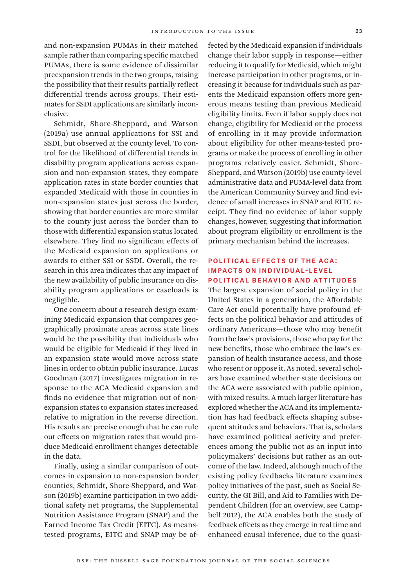and non-expansion PUMAs in their matched sample rather than comparing specific matched PUMAs, there is some evidence of dissimilar preexpansion trends in the two groups, raising the possibility that their results partially reflect differential trends across groups. Their estimates for SSDI applications are similarly inconclusive.

Schmidt, Shore-Sheppard, and Watson (2019a) use annual applications for SSI and SSDI, but observed at the county level. To control for the likelihood of differential trends in disability program applications across expansion and non-expansion states, they compare application rates in state border counties that expanded Medicaid with those in counties in non-expansion states just across the border, showing that border counties are more similar to the county just across the border than to those with differential expansion status located elsewhere. They find no significant effects of the Medicaid expansion on applications or awards to either SSI or SSDI. Overall, the research in this area indicates that any impact of the new availability of public insurance on disability program applications or caseloads is negligible.

One concern about a research design examining Medicaid expansion that compares geographically proximate areas across state lines would be the possibility that individuals who would be eligible for Medicaid if they lived in an expansion state would move across state lines in order to obtain public insurance. Lucas Goodman (2017) investigates migration in response to the ACA Medicaid expansion and finds no evidence that migration out of nonexpansion states to expansion states increased relative to migration in the reverse direction. His results are precise enough that he can rule out effects on migration rates that would produce Medicaid enrollment changes detectable in the data.

Finally, using a similar comparison of outcomes in expansion to non-expansion border counties, Schmidt, Shore-Sheppard, and Watson (2019b) examine participation in two additional safety net programs, the Supplemental Nutrition Assistance Program (SNAP) and the Earned Income Tax Credit (EITC). As meanstested programs, EITC and SNAP may be affected by the Medicaid expansion if individuals change their labor supply in response—either reducing it to qualify for Medicaid, which might increase participation in other programs, or increasing it because for individuals such as parents the Medicaid expansion offers more generous means testing than previous Medicaid eligibility limits. Even if labor supply does not change, eligibility for Medicaid or the process of enrolling in it may provide information about eligibility for other means-tested programs or make the process of enrolling in other programs relatively easier. Schmidt, Shore-Sheppard, and Watson (2019b) use county-level administrative data and PUMA-level data from the American Community Survey and find evidence of small increases in SNAP and EITC receipt. They find no evidence of labor supply changes, however, suggesting that information about program eligibility or enrollment is the primary mechanism behind the increases.

#### Political Effects of the ACA: Impacts on Individual-Level Political Behavior and Attitudes

The largest expansion of social policy in the United States in a generation, the Affordable Care Act could potentially have profound effects on the political behavior and attitudes of ordinary Americans—those who may benefit from the law's provisions, those who pay for the new benefits, those who embrace the law's expansion of health insurance access, and those who resent or oppose it. As noted, several scholars have examined whether state decisions on the ACA were associated with public opinion, with mixed results. A much larger literature has explored whether the ACA and its implementation has had feedback effects shaping subsequent attitudes and behaviors. That is, scholars have examined political activity and preferences among the public not as an input into policymakers' decisions but rather as an outcome of the law. Indeed, although much of the existing policy feedbacks literature examines policy initiatives of the past, such as Social Security, the GI Bill, and Aid to Families with Dependent Children (for an overview, see Campbell 2012), the ACA enables both the study of feedback effects as they emerge in real time and enhanced causal inference, due to the quasi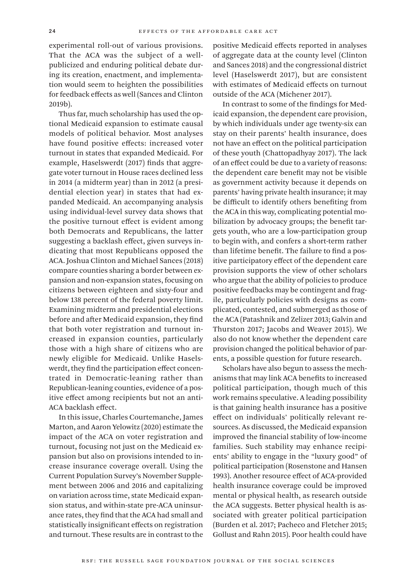experimental roll-out of various provisions. That the ACA was the subject of a wellpublicized and enduring political debate during its creation, enactment, and implementation would seem to heighten the possibilities for feedback effects as well (Sances and Clinton 2019b).

Thus far, much scholarship has used the optional Medicaid expansion to estimate causal models of political behavior. Most analyses have found positive effects: increased voter turnout in states that expanded Medicaid. For example, Haselswerdt (2017) finds that aggregate voter turnout in House races declined less in 2014 (a midterm year) than in 2012 (a presidential election year) in states that had expanded Medicaid. An accompanying analysis using individual-level survey data shows that the positive turnout effect is evident among both Democrats and Republicans, the latter suggesting a backlash effect, given surveys indicating that most Republicans opposed the ACA. Joshua Clinton and Michael Sances (2018) compare counties sharing a border between expansion and non-expansion states, focusing on citizens between eighteen and sixty-four and below 138 percent of the federal poverty limit. Examining midterm and presidential elections before and after Medicaid expansion, they find that both voter registration and turnout increased in expansion counties, particularly those with a high share of citizens who are newly eligible for Medicaid. Unlike Haselswerdt, they find the participation effect concentrated in Democratic-leaning rather than Republican-leaning counties, evidence of a positive effect among recipients but not an anti-ACA backlash effect.

In this issue, Charles Courtemanche, James Marton, and Aaron Yelowitz (2020) estimate the impact of the ACA on voter registration and turnout, focusing not just on the Medicaid expansion but also on provisions intended to increase insurance coverage overall. Using the Current Population Survey's November Supplement between 2006 and 2016 and capitalizing on variation across time, state Medicaid expansion status, and within-state pre-ACA uninsurance rates, they find that the ACA had small and statistically insignificant effects on registration and turnout. These results are in contrast to the

positive Medicaid effects reported in analyses of aggregate data at the county level (Clinton and Sances 2018) and the congressional district level (Haselswerdt 2017), but are consistent with estimates of Medicaid effects on turnout outside of the ACA (Michener 2017).

In contrast to some of the findings for Medicaid expansion, the dependent care provision, by which individuals under age twenty-six can stay on their parents' health insurance, does not have an effect on the political participation of these youth (Chattopadhyay 2017). The lack of an effect could be due to a variety of reasons: the dependent care benefit may not be visible as government activity because it depends on parents' having private health insurance; it may be difficult to identify others benefiting from the ACA in this way, complicating potential mobilization by advocacy groups; the benefit targets youth, who are a low-participation group to begin with, and confers a short-term rather than lifetime benefit. The failure to find a positive participatory effect of the dependent care provision supports the view of other scholars who argue that the ability of policies to produce positive feedbacks may be contingent and fragile, particularly policies with designs as complicated, contested, and submerged as those of the ACA (Patashnik and Zelizer 2013; Galvin and Thurston 2017; Jacobs and Weaver 2015). We also do not know whether the dependent care provision changed the political behavior of parents, a possible question for future research.

Scholars have also begun to assess the mechanisms that may link ACA benefits to increased political participation, though much of this work remains speculative. A leading possibility is that gaining health insurance has a positive effect on individuals' politically relevant resources. As discussed, the Medicaid expansion improved the financial stability of low-income families. Such stability may enhance recipients' ability to engage in the "luxury good" of political participation (Rosenstone and Hansen 1993). Another resource effect of ACA-provided health insurance coverage could be improved mental or physical health, as research outside the ACA suggests. Better physical health is associated with greater political participation (Burden et al. 2017; Pacheco and Fletcher 2015; Gollust and Rahn 2015). Poor health could have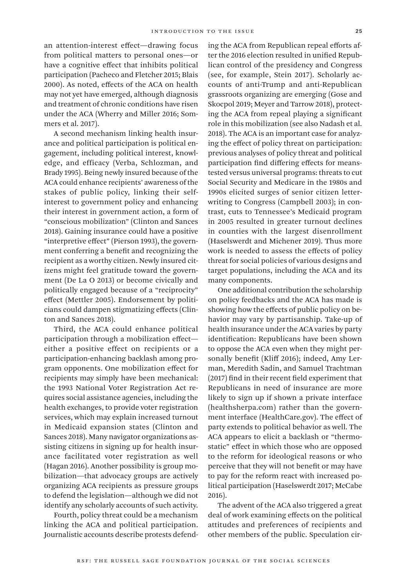an attention-interest effect—drawing focus from political matters to personal ones—or have a cognitive effect that inhibits political participation (Pacheco and Fletcher 2015; Blais 2000). As noted, effects of the ACA on health may not yet have emerged, although diagnosis and treatment of chronic conditions have risen under the ACA (Wherry and Miller 2016; Sommers et al. 2017).

A second mechanism linking health insurance and political participation is political engagement, including political interest, knowledge, and efficacy (Verba, Schlozman, and Brady 1995). Being newly insured because of the ACA could enhance recipients' awareness of the stakes of public policy, linking their selfinterest to government policy and enhancing their interest in government action, a form of "conscious mobilization" (Clinton and Sances 2018). Gaining insurance could have a positive "interpretive effect" (Pierson 1993), the government conferring a benefit and recognizing the recipient as a worthy citizen. Newly insured citizens might feel gratitude toward the government (De La O 2013) or become civically and politically engaged because of a "reciprocity" effect (Mettler 2005). Endorsement by politicians could dampen stigmatizing effects (Clinton and Sances 2018).

Third, the ACA could enhance political participation through a mobilization effect either a positive effect on recipients or a participation-enhancing backlash among program opponents. One mobilization effect for recipients may simply have been mechanical: the 1993 National Voter Registration Act requires social assistance agencies, including the health exchanges, to provide voter registration services, which may explain increased turnout in Medicaid expansion states (Clinton and Sances 2018). Many navigator organizations assisting citizens in signing up for health insurance facilitated voter registration as well (Hagan 2016). Another possibility is group mobilization—that advocacy groups are actively organizing ACA recipients as pressure groups to defend the legislation—although we did not identify any scholarly accounts of such activity.

Fourth, policy threat could be a mechanism linking the ACA and political participation. Journalistic accounts describe protests defending the ACA from Republican repeal efforts after the 2016 election resulted in unified Republican control of the presidency and Congress (see, for example, Stein 2017). Scholarly accounts of anti-Trump and anti-Republican grassroots organizing are emerging (Gose and Skocpol 2019; Meyer and Tarrow 2018), protecting the ACA from repeal playing a significant role in this mobilization (see also Nadash et al. 2018). The ACA is an important case for analyzing the effect of policy threat on participation: previous analyses of policy threat and political participation find differing effects for meanstested versus universal programs: threats to cut Social Security and Medicare in the 1980s and 1990s elicited surges of senior citizen letterwriting to Congress (Campbell 2003); in contrast, cuts to Tennessee's Medicaid program in 2005 resulted in greater turnout declines in counties with the largest disenrollment (Haselswerdt and Michener 2019). Thus more work is needed to assess the effects of policy threat for social policies of various designs and target populations, including the ACA and its many components.

One additional contribution the scholarship on policy feedbacks and the ACA has made is showing how the effects of public policy on behavior may vary by partisanship. Take-up of health insurance under the ACA varies by party identification: Republicans have been shown to oppose the ACA even when they might personally benefit (Kliff 2016); indeed, Amy Lerman, Meredith Sadin, and Samuel Trachtman (2017) find in their recent field experiment that Republicans in need of insurance are more likely to sign up if shown a private interface (healthsherpa.com) rather than the government interface (HealthCare.gov). The effect of party extends to political behavior as well. The ACA appears to elicit a backlash or "thermostatic" effect in which those who are opposed to the reform for ideological reasons or who perceive that they will not benefit or may have to pay for the reform react with increased political participation (Haselswerdt 2017; McCabe 2016).

The advent of the ACA also triggered a great deal of work examining effects on the political attitudes and preferences of recipients and other members of the public. Speculation cir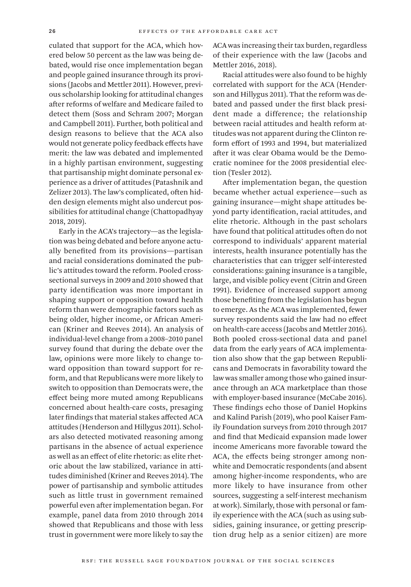culated that support for the ACA, which hovered below 50 percent as the law was being debated, would rise once implementation began and people gained insurance through its provisions (Jacobs and Mettler 2011). However, previous scholarship looking for attitudinal changes after reforms of welfare and Medicare failed to detect them (Soss and Schram 2007; Morgan and Campbell 2011). Further, both political and design reasons to believe that the ACA also would not generate policy feedback effects have merit: the law was debated and implemented in a highly partisan environment, suggesting that partisanship might dominate personal experience as a driver of attitudes (Patashnik and Zelizer 2013). The law's complicated, often hidden design elements might also undercut possibilities for attitudinal change (Chattopadhyay 2018, 2019).

Early in the ACA's trajectory—as the legislation was being debated and before anyone actually benefited from its provisions—partisan and racial considerations dominated the public's attitudes toward the reform. Pooled crosssectional surveys in 2009 and 2010 showed that party identification was more important in shaping support or opposition toward health reform than were demographic factors such as being older, higher income, or African American (Kriner and Reeves 2014). An analysis of individual-level change from a 2008–2010 panel survey found that during the debate over the law, opinions were more likely to change toward opposition than toward support for reform, and that Republicans were more likely to switch to opposition than Democrats were, the effect being more muted among Republicans concerned about health-care costs, presaging later findings that material stakes affected ACA attitudes (Henderson and Hillygus 2011). Scholars also detected motivated reasoning among partisans in the absence of actual experience as well as an effect of elite rhetoric: as elite rhetoric about the law stabilized, variance in attitudes diminished (Kriner and Reeves 2014). The power of partisanship and symbolic attitudes such as little trust in government remained powerful even after implementation began. For example, panel data from 2010 through 2014 showed that Republicans and those with less trust in government were more likely to say the

ACA was increasing their tax burden, regardless of their experience with the law (Jacobs and Mettler 2016, 2018).

Racial attitudes were also found to be highly correlated with support for the ACA (Henderson and Hillygus 2011). That the reform was debated and passed under the first black president made a difference; the relationship between racial attitudes and health reform attitudes was not apparent during the Clinton reform effort of 1993 and 1994, but materialized after it was clear Obama would be the Democratic nominee for the 2008 presidential election (Tesler 2012).

After implementation began, the question became whether actual experience—such as gaining insurance—might shape attitudes beyond party identification, racial attitudes, and elite rhetoric. Although in the past scholars have found that political attitudes often do not correspond to individuals' apparent material interests, health insurance potentially has the characteristics that can trigger self-interested considerations: gaining insurance is a tangible, large, and visible policy event (Citrin and Green 1991). Evidence of increased support among those benefiting from the legislation has begun to emerge. As the ACA was implemented, fewer survey respondents said the law had no effect on health-care access (Jacobs and Mettler 2016). Both pooled cross-sectional data and panel data from the early years of ACA implementation also show that the gap between Republicans and Democrats in favorability toward the law was smaller among those who gained insurance through an ACA marketplace than those with employer-based insurance (McCabe 2016). These findings echo those of Daniel Hopkins and Kalind Parish (2019), who pool Kaiser Family Foundation surveys from 2010 through 2017 and find that Medicaid expansion made lower income Americans more favorable toward the ACA, the effects being stronger among nonwhite and Democratic respondents (and absent among higher-income respondents, who are more likely to have insurance from other sources, suggesting a self-interest mechanism at work). Similarly, those with personal or family experience with the ACA (such as using subsidies, gaining insurance, or getting prescription drug help as a senior citizen) are more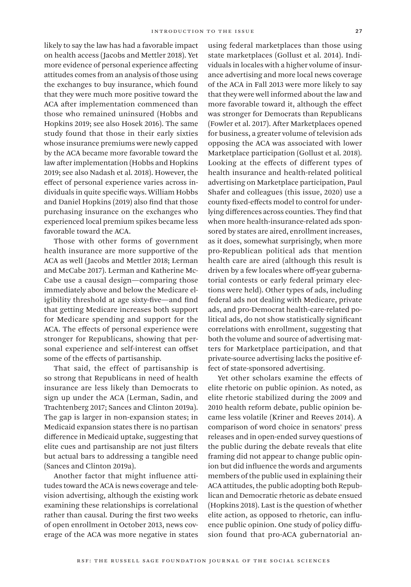likely to say the law has had a favorable impact on health access (Jacobs and Mettler 2018). Yet more evidence of personal experience affecting attitudes comes from an analysis of those using the exchanges to buy insurance, which found that they were much more positive toward the ACA after implementation commenced than those who remained uninsured (Hobbs and Hopkins 2019; see also Hosek 2016). The same study found that those in their early sixties whose insurance premiums were newly capped by the ACA became more favorable toward the law after implementation (Hobbs and Hopkins 2019; see also Nadash et al. 2018). However, the effect of personal experience varies across individuals in quite specific ways. William Hobbs and Daniel Hopkins (2019) also find that those purchasing insurance on the exchanges who experienced local premium spikes became less favorable toward the ACA.

Those with other forms of government health insurance are more supportive of the ACA as well (Jacobs and Mettler 2018; Lerman and McCabe 2017). Lerman and Katherine Mc-Cabe use a causal design—comparing those immediately above and below the Medicare eligibility threshold at age sixty-five—and find that getting Medicare increases both support for Medicare spending and support for the ACA. The effects of personal experience were stronger for Republicans, showing that personal experience and self-interest can offset some of the effects of partisanship.

That said, the effect of partisanship is so strong that Republicans in need of health insurance are less likely than Democrats to sign up under the ACA (Lerman, Sadin, and Trachtenberg 2017; Sances and Clinton 2019a). The gap is larger in non-expansion states; in Medicaid expansion states there is no partisan difference in Medicaid uptake, suggesting that elite cues and partisanship are not just filters but actual bars to addressing a tangible need (Sances and Clinton 2019a).

Another factor that might influence attitudes toward the ACA is news coverage and television advertising, although the existing work examining these relationships is correlational rather than causal. During the first two weeks of open enrollment in October 2013, news coverage of the ACA was more negative in states

using federal marketplaces than those using state marketplaces (Gollust et al. 2014). Individuals in locales with a higher volume of insurance advertising and more local news coverage of the ACA in Fall 2013 were more likely to say that they were well informed about the law and more favorable toward it, although the effect was stronger for Democrats than Republicans (Fowler et al. 2017). After Marketplaces opened for business, a greater volume of television ads opposing the ACA was associated with lower Marketplace participation (Gollust et al. 2018). Looking at the effects of different types of health insurance and health-related political advertising on Marketplace participation, Paul Shafer and colleagues (this issue, 2020) use a county fixed-effects model to control for underlying differences across counties. They find that when more health-insurance-related ads sponsored by states are aired, enrollment increases, as it does, somewhat surprisingly, when more pro-Republican political ads that mention health care are aired (although this result is driven by a few locales where off-year gubernatorial contests or early federal primary elections were held). Other types of ads, including federal ads not dealing with Medicare, private ads, and pro-Democrat health-care-related political ads, do not show statistically significant correlations with enrollment, suggesting that both the volume and source of advertising matters for Marketplace participation, and that private-source advertising lacks the positive effect of state-sponsored advertising.

Yet other scholars examine the effects of elite rhetoric on public opinion. As noted, as elite rhetoric stabilized during the 2009 and 2010 health reform debate, public opinion became less volatile (Kriner and Reeves 2014). A comparison of word choice in senators' press releases and in open-ended survey questions of the public during the debate reveals that elite framing did not appear to change public opinion but did influence the words and arguments members of the public used in explaining their ACA attitudes, the public adopting both Republican and Democratic rhetoric as debate ensued (Hopkins 2018). Last is the question of whether elite action, as opposed to rhetoric, can influence public opinion. One study of policy diffusion found that pro-ACA gubernatorial an-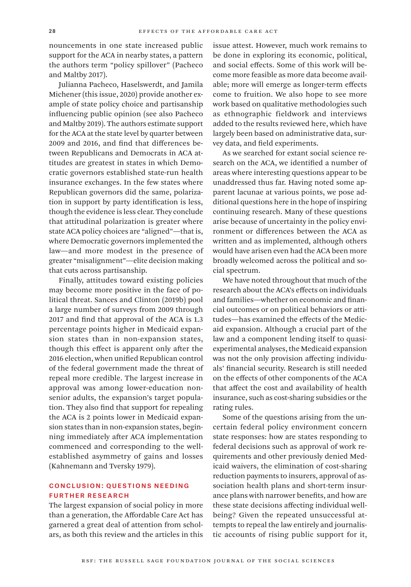nouncements in one state increased public support for the ACA in nearby states, a pattern the authors term "policy spillover" (Pacheco and Maltby 2017).

Julianna Pacheco, Haselswerdt, and Jamila Michener (this issue, 2020) provide another example of state policy choice and partisanship influencing public opinion (see also Pacheco and Maltby 2019). The authors estimate support for the ACA at the state level by quarter between 2009 and 2016, and find that differences between Republicans and Democrats in ACA attitudes are greatest in states in which Democratic governors established state-run health insurance exchanges. In the few states where Republican governors did the same, polarization in support by party identification is less, though the evidence is less clear. They conclude that attitudinal polarization is greater where state ACA policy choices are "aligned"—that is, where Democratic governors implemented the law—and more modest in the presence of greater "misalignment"—elite decision making that cuts across partisanship.

Finally, attitudes toward existing policies may become more positive in the face of political threat. Sances and Clinton (2019b) pool a large number of surveys from 2009 through 2017 and find that approval of the ACA is 1.3 percentage points higher in Medicaid expansion states than in non-expansion states, though this effect is apparent only after the 2016 election, when unified Republican control of the federal government made the threat of repeal more credible. The largest increase in approval was among lower-education nonsenior adults, the expansion's target population. They also find that support for repealing the ACA is 2 points lower in Medicaid expansion states than in non-expansion states, beginning immediately after ACA implementation commenced and corresponding to the wellestablished asymmetry of gains and losses (Kahnemann and Tversky 1979).

#### Conclusion: Questions Needing Further Research

The largest expansion of social policy in more than a generation, the Affordable Care Act has garnered a great deal of attention from scholars, as both this review and the articles in this

issue attest. However, much work remains to be done in exploring its economic, political, and social effects. Some of this work will become more feasible as more data become available; more will emerge as longer-term effects come to fruition. We also hope to see more work based on qualitative methodologies such as ethnographic fieldwork and interviews added to the results reviewed here, which have largely been based on administrative data, survey data, and field experiments.

As we searched for extant social science research on the ACA, we identified a number of areas where interesting questions appear to be unaddressed thus far. Having noted some apparent lacunae at various points, we pose additional questions here in the hope of inspiring continuing research. Many of these questions arise because of uncertainty in the policy environment or differences between the ACA as written and as implemented, although others would have arisen even had the ACA been more broadly welcomed across the political and social spectrum.

We have noted throughout that much of the research about the ACA's effects on individuals and families—whether on economic and financial outcomes or on political behaviors or attitudes—has examined the effects of the Medicaid expansion. Although a crucial part of the law and a component lending itself to quasiexperimental analyses, the Medicaid expansion was not the only provision affecting individuals' financial security. Research is still needed on the effects of other components of the ACA that affect the cost and availability of health insurance, such as cost-sharing subsidies or the rating rules.

Some of the questions arising from the uncertain federal policy environment concern state responses: how are states responding to federal decisions such as approval of work requirements and other previously denied Medicaid waivers, the elimination of cost-sharing reduction payments to insurers, approval of association health plans and short-term insurance plans with narrower benefits, and how are these state decisions affecting individual wellbeing? Given the repeated unsuccessful attempts to repeal the law entirely and journalistic accounts of rising public support for it,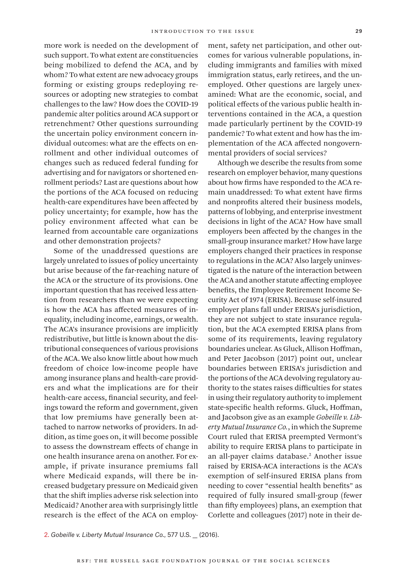more work is needed on the development of such support. To what extent are constituencies being mobilized to defend the ACA, and by whom? To what extent are new advocacy groups forming or existing groups redeploying resources or adopting new strategies to combat challenges to the law? How does the COVID-19 pandemic alter politics around ACA support or retrenchment? Other questions surrounding the uncertain policy environment concern individual outcomes: what are the effects on enrollment and other individual outcomes of changes such as reduced federal funding for advertising and for navigators or shortened enrollment periods? Last are questions about how the portions of the ACA focused on reducing health-care expenditures have been affected by policy uncertainty; for example, how has the policy environment affected what can be learned from accountable care organizations and other demonstration projects?

Some of the unaddressed questions are largely unrelated to issues of policy uncertainty but arise because of the far-reaching nature of the ACA or the structure of its provisions. One important question that has received less attention from researchers than we were expecting is how the ACA has affected measures of inequality, including income, earnings, or wealth. The ACA's insurance provisions are implicitly redistributive, but little is known about the distributional consequences of various provisions of the ACA. We also know little about how much freedom of choice low-income people have among insurance plans and health-care providers and what the implications are for their health-care access, financial security, and feelings toward the reform and government, given that low premiums have generally been attached to narrow networks of providers. In addition, as time goes on, it will become possible to assess the downstream effects of change in one health insurance arena on another. For example, if private insurance premiums fall where Medicaid expands, will there be increased budgetary pressure on Medicaid given that the shift implies adverse risk selection into Medicaid? Another area with surprisingly little research is the effect of the ACA on employment, safety net participation, and other outcomes for various vulnerable populations, including immigrants and families with mixed immigration status, early retirees, and the unemployed. Other questions are largely unexamined: What are the economic, social, and political effects of the various public health interventions contained in the ACA, a question made particularly pertinent by the COVID-19 pandemic? To what extent and how has the implementation of the ACA affected nongovernmental providers of social services?

Although we describe the results from some research on employer behavior, many questions about how firms have responded to the ACA remain unaddressed: To what extent have firms and nonprofits altered their business models, patterns of lobbying, and enterprise investment decisions in light of the ACA? How have small employers been affected by the changes in the small-group insurance market? How have large employers changed their practices in response to regulations in the ACA? Also largely uninvestigated is the nature of the interaction between the ACA and another statute affecting employee benefits, the Employee Retirement Income Security Act of 1974 (ERISA). Because self-insured employer plans fall under ERISA's jurisdiction, they are not subject to state insurance regulation, but the ACA exempted ERISA plans from some of its requirements, leaving regulatory boundaries unclear. As Gluck, Allison Hoffman, and Peter Jacobson (2017) point out, unclear boundaries between ERISA's jurisdiction and the portions of the ACA devolving regulatory authority to the states raises difficulties for states in using their regulatory authority to implement state-specific health reforms. Gluck, Hoffman, and Jacobson give as an example *Gobeille v. Liberty Mutual Insurance Co.*, in which the Supreme Court ruled that ERISA preempted Vermont's ability to require ERISA plans to participate in an all-payer claims database.2 Another issue raised by ERISA-ACA interactions is the ACA's exemption of self-insured ERISA plans from needing to cover "essential health benefits" as required of fully insured small-group (fewer than fifty employees) plans, an exemption that Corlette and colleagues (2017) note in their de-

2. *Gobeille v. Liberty Mutual Insurance Co.*, 577 U.S. \_\_ (2016).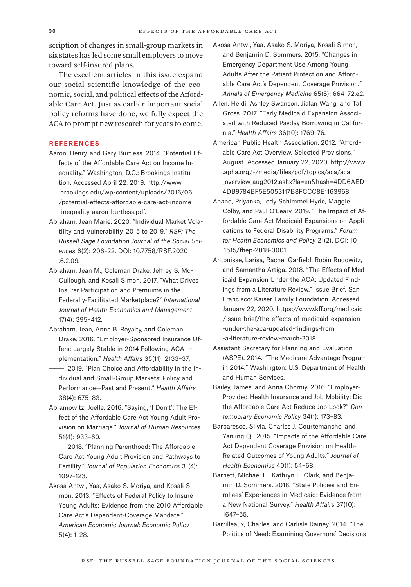scription of changes in small-group markets in six states has led some small employers to move toward self-insured plans.

The excellent articles in this issue expand our social scientific knowledge of the economic, social, and political effects of the Affordable Care Act. Just as earlier important social policy reforms have done, we fully expect the ACA to prompt new research for years to come.

#### **REFERENCES**

- Aaron, Henry, and Gary Burtless. 2014. "Potential Effects of the Affordable Care Act on Income Inequality." Washington, D.C.: Brookings Institution. Accessed April 22, 2019. [http://www](http://www.brookings.edu/wp-content/uploads/2016/06/potential-effects-affordable-care-act-income-inequality-aaron-burtless.pdf) [.brookings.edu/wp-content/uploads/2016/06](http://www.brookings.edu/wp-content/uploads/2016/06/potential-effects-affordable-care-act-income-inequality-aaron-burtless.pdf) [/potential-effects-affordable-care-act-income](http://www.brookings.edu/wp-content/uploads/2016/06/potential-effects-affordable-care-act-income-inequality-aaron-burtless.pdf) [-inequality-aaron-burtless.pdf.](http://www.brookings.edu/wp-content/uploads/2016/06/potential-effects-affordable-care-act-income-inequality-aaron-burtless.pdf)
- Abraham, Jean Marie. 2020. "Individual Market Volatility and Vulnerability, 2015 to 2019." *RSF: The Russell Sage Foundation Journal of the Social Sciences* 6(2): 206–22. DOI: 10.7758/RSF.2020 .6.2.09.
- Abraham, Jean M., Coleman Drake, Jeffrey S. Mc-Cullough, and Kosali Simon. 2017. "What Drives Insurer Participation and Premiums in the Federally-Facilitated Marketplace?" *International Journal of Health Economics and Management* 17(4): 395–412.
- Abraham, Jean, Anne B. Royalty, and Coleman Drake. 2016. "Employer-Sponsored Insurance Offers: Largely Stable in 2014 Following ACA Implementation." *Health Affairs* 35(11): 2133–37.
- -. 2019. "Plan Choice and Affordability in the Individual and Small-Group Markets: Policy and Performance—Past and Present." *Health Affairs* 38(4): 675–83.
- Abramowitz, Joelle. 2016. "Saying, 'I Don't': The Effect of the Affordable Care Act Young Adult Provision on Marriage." *Journal of Human Resources* 51(4): 933–60.
- -. 2018. "Planning Parenthood: The Affordable Care Act Young Adult Provision and Pathways to Fertility." *Journal of Population Economics* 31(4): 1097–123.
- Akosa Antwi, Yaa, Asako S. Moriya, and Kosali Simon. 2013. "Effects of Federal Policy to Insure Young Adults: Evidence from the 2010 Affordable Care Act's Dependent-Coverage Mandate." *American Economic Journal: Economic Policy* 5(4): 1–28.
- Akosa Antwi, Yaa, Asako S. Moriya, Kosali Simon, and Benjamin D. Sommers. 2015. "Changes in Emergency Department Use Among Young Adults After the Patient Protection and Affordable Care Act's Dependent Coverage Provision." *Annals of Emergency Medicine* 65(6): 664–72.e2.
- Allen, Heidi, Ashley Swanson, Jialan Wang, and Tal Gross. 2017. "Early Medicaid Expansion Associated with Reduced Payday Borrowing in California." *Health Affairs* 36(10): 1769–76.
- American Public Health Association. 2012. "Affordable Care Act Overview, Selected Provisions." August. Accessed January 22, 2020. [http://www](http://www.apha.org/-/media/files/pdf/topics/aca/aca_overview_aug2012.ashx?la=en&hash=4DD6AED4DB9784BF5E5053117B8FCCC8E1163968) [.apha.org/-/media/files/pdf/topics/aca/aca](http://www.apha.org/-/media/files/pdf/topics/aca/aca_overview_aug2012.ashx?la=en&hash=4DD6AED4DB9784BF5E5053117B8FCCC8E1163968) overview aug2012.ashx?la=en&hash=4DD6AED [4DB9784BF5E5053117B8FCCC8E1163968](http://www.apha.org/-/media/files/pdf/topics/aca/aca_overview_aug2012.ashx?la=en&hash=4DD6AED4DB9784BF5E5053117B8FCCC8E1163968).
- Anand, Priyanka, Jody Schimmel Hyde, Maggie Colby, and Paul O'Leary. 2019. "The Impact of Affordable Care Act Medicaid Expansions on Applications to Federal Disability Programs." *Forum for Health Economics and Policy* 21(2). DOI: 10 .1515/fhep-2018-0001.
- Antonisse, Larisa, Rachel Garfield, Robin Rudowitz, and Samantha Artiga. 2018. "The Effects of Medicaid Expansion Under the ACA: Updated Findings from a Literature Review." Issue Brief. San Francisco: Kaiser Family Foundation. Accessed January 22, 2020. [https://www.kff.org/medicaid](https://www.kff.org/medicaid/issue-brief/the-effects-of-medicaid-expansion-under-the-aca-updated-findings-from-a-literature-review-march-2018) [/issue-brief/the-effects-of-medicaid-expansion](https://www.kff.org/medicaid/issue-brief/the-effects-of-medicaid-expansion-under-the-aca-updated-findings-from-a-literature-review-march-2018) [-under-the-aca-updated-findings-from](https://www.kff.org/medicaid/issue-brief/the-effects-of-medicaid-expansion-under-the-aca-updated-findings-from-a-literature-review-march-2018) [-a-literature-review-march-2018](https://www.kff.org/medicaid/issue-brief/the-effects-of-medicaid-expansion-under-the-aca-updated-findings-from-a-literature-review-march-2018).
- Assistant Secretary for Planning and Evaluation (ASPE). 2014. "The Medicare Advantage Program in 2014." Washington: U.S. Department of Health and Human Services.
- Bailey, James, and Anna Chorniy. 2016. "Employer-Provided Health Insurance and Job Mobility: Did the Affordable Care Act Reduce Job Lock?" *Contemporary Economic Policy* 34(1): 173–83.
- Barbaresco, Silvia, Charles J. Courtemanche, and Yanling Qi. 2015. "Impacts of the Affordable Care Act Dependent Coverage Provision on Health-Related Outcomes of Young Adults." *Journal of Health Economics* 40(1): 54–68.
- Barnett, Michael L., Kathryn L. Clark, and Benjamin D. Sommers. 2018. "State Policies and Enrollees' Experiences in Medicaid: Evidence from a New National Survey." *Health Affairs* 37(10): 1647–55.
- Barrilleaux, Charles, and Carlisle Rainey. 2014. "The Politics of Need: Examining Governors' Decisions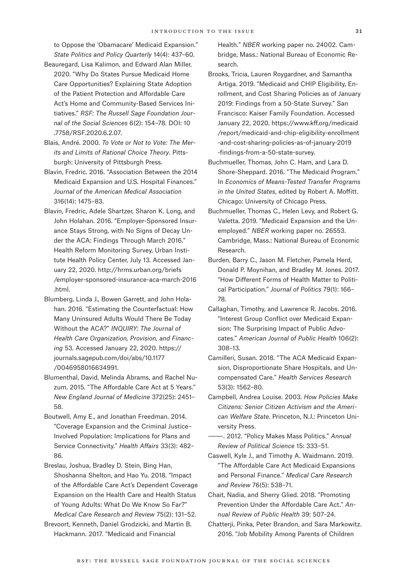to Oppose the 'Obamacare' Medicaid Expansion." *State Politics and Policy Quarterly* 14(4): 437–60.

- Beauregard, Lisa Kalimon, and Edward Alan Miller. 2020. "Why Do States Pursue Medicaid Home Care Opportunities? Explaining State Adoption of the Patient Protection and Affordable Care Act's Home and Community-Based Services Initiatives." *RSF: The Russell Sage Foundation Journal of the Social Sciences* 6(2): 154–78. DOI: 10 .7758/RSF.2020.6.2.07.
- Blais, André. 2000. *To Vote or Not to Vote: The Merits and Limits of Rational Choice Theory*. Pittsburgh: University of Pittsburgh Press.
- Blavin, Fredric. 2016. "Association Between the 2014 Medicaid Expansion and U.S. Hospital Finances." *Journal of the American Medical Association* 316(14): 1475–83.
- Blavin, Fredric, Adele Shartzer, Sharon K. Long, and John Holahan. 2016. "Employer-Sponsored Insurance Stays Strong, with No Signs of Decay Under the ACA: Findings Through March 2016." Health Reform Monitoring Survey, Urban Institute Health Policy Center, July 13. Accessed January 22, 2020. http:/[/hrms.urban.org/briefs](http://hrms.urban.org/briefs/employer-sponsored-insurance-aca-march-2016.html) [/employer-sponsored-insurance-aca-march-2016](http://hrms.urban.org/briefs/employer-sponsored-insurance-aca-march-2016.html) [.html](http://hrms.urban.org/briefs/employer-sponsored-insurance-aca-march-2016.html).
- Blumberg, Linda J., Bowen Garrett, and John Holahan. 2016. "Estimating the Counterfactual: How Many Uninsured Adults Would There Be Today Without the ACA?" *INQUIRY: The Journal of Health Care Organization, Provision, and Financing* 53. Accessed January 22, 2020. [https://](https://journals.sagepub.com/doi/abs/10.1177/0046958016634991) [journals.sagepub.com/doi/abs/10.1177](https://journals.sagepub.com/doi/abs/10.1177/0046958016634991) [/0046958016634991.](https://journals.sagepub.com/doi/abs/10.1177/0046958016634991)
- Blumenthal, David, Melinda Abrams, and Rachel Nuzum. 2015. "The Affordable Care Act at 5 Years." *New England Journal of Medicine* 372(25): 2451– 58.
- Boutwell, Amy E., and Jonathan Freedman. 2014. "Coverage Expansion and the Criminal Justice– Involved Population: Implications for Plans and Service Connectivity." *Health Affairs* 33(3): 482– 86.
- Breslau, Joshua, Bradley D. Stein, Bing Han, Shoshanna Shelton, and Hao Yu. 2018. "Impact of the Affordable Care Act's Dependent Coverage Expansion on the Health Care and Health Status of Young Adults: What Do We Know So Far?" *Medical Care Research and Review* 75(2): 131–52.
- Brevoort, Kenneth, Daniel Grodzicki, and Martin B. Hackmann. 2017. "Medicaid and Financial

Health." *NBER* working paper no. 24002. Cambridge, Mass.: National Bureau of Economic Research.

- Brooks, Tricia, Lauren Roygardner, and Samantha Artiga. 2019. "Medicaid and CHIP Eligibility, Enrollment, and Cost Sharing Policies as of January 2019: Findings from a 50-State Survey." San Francisco: Kaiser Family Foundation. Accessed January 22, 2020. [https://www.kff.org/medicaid](https://www.kff.org/medicaid/report/medicaid-and-chip-eligibility-enrollment-and-cost-sharing-policies-as-of-january-2019-findings-from-a-50-state-survey) [/report/medicaid-and-chip-eligibility-enrollment](https://www.kff.org/medicaid/report/medicaid-and-chip-eligibility-enrollment-and-cost-sharing-policies-as-of-january-2019-findings-from-a-50-state-survey) [-and-cost-sharing-policies-as-of-january-2019](https://www.kff.org/medicaid/report/medicaid-and-chip-eligibility-enrollment-and-cost-sharing-policies-as-of-january-2019-findings-from-a-50-state-survey) [-findings-from-a-50-state-survey.](https://www.kff.org/medicaid/report/medicaid-and-chip-eligibility-enrollment-and-cost-sharing-policies-as-of-january-2019-findings-from-a-50-state-survey)
- Buchmueller, Thomas, John C. Ham, and Lara D. Shore-Sheppard. 2016. "The Medicaid Program." In *Economics of Means-Tested Transfer Programs in the United States*, edited by Robert A. Moffitt. Chicago: University of Chicago Press.
- Buchmueller, Thomas C., Helen Levy, and Robert G. Valetta. 2019. "Medicaid Expansion and the Unemployed." *NBER* working paper no. 26553. Cambridge, Mass.: National Bureau of Economic Research.
- Burden, Barry C., Jason M. Fletcher, Pamela Herd, Donald P. Moynihan, and Bradley M. Jones. 2017. "How Different Forms of Health Matter to Political Participation." *Journal of Politics* 79(1): 166– 78.
- Callaghan, Timothy, and Lawrence R. Jacobs. 2016. "Interest Group Conflict over Medicaid Expansion: The Surprising Impact of Public Advocates." *American Journal of Public Health* 106(2): 308–13.
- Camilleri, Susan. 2018. "The ACA Medicaid Expansion, Disproportionate Share Hospitals, and Uncompensated Care." *Health Services Research* 53(3): 1562–80.
- Campbell, Andrea Louise. 2003. *How Policies Make Citizens: Senior Citizen Activism and the American Welfare State.* Princeton, N.J.: Princeton University Press.
- ———. 2012. "Policy Makes Mass Politics." *Annual Review of Political Science* 15: 333–51.
- Caswell, Kyle J., and Timothy A. Waidmann. 2019. "The Affordable Care Act Medicaid Expansions and Personal Finance." *Medical Care Research and Review* 76(5): 538–71.
- Chait, Nadia, and Sherry Glied. 2018. "Promoting Prevention Under the Affordable Care Act." *Annual Review of Public Health* 39: 507–24.
- Chatterji, Pinka, Peter Brandon, and Sara Markowitz. 2016. "Job Mobility Among Parents of Children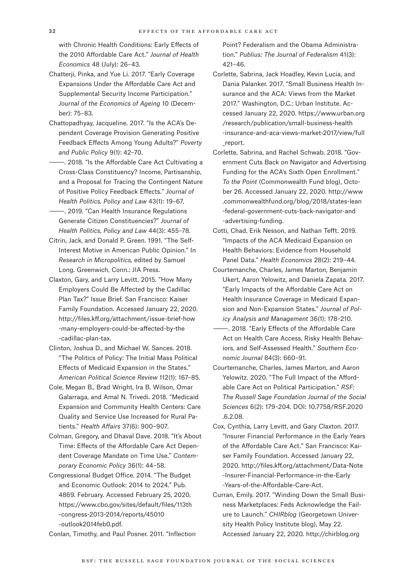with Chronic Health Conditions: Early Effects of the 2010 Affordable Care Act." *Journal of Health Economics* 48 (July): 26–43.

- Chatterji, Pinka, and Yue Li. 2017. "Early Coverage Expansions Under the Affordable Care Act and Supplemental Security Income Participation." *Journal of the Economics of Ageing* 10 (December): 75–83.
- Chattopadhyay, Jacqueline. 2017. "Is the ACA's Dependent Coverage Provision Generating Positive Feedback Effects Among Young Adults?" *Poverty and Public Policy* 9(1): 42–70.
- ———. 2018*.* "Is the Affordable Care Act Cultivating a Cross-Class Constituency? Income, Partisanship, and a Proposal for Tracing the Contingent Nature of Positive Policy Feedback Effects." *Journal of Health Politics, Policy and Law* 43(1): 19–67.
- ———. 2019*.* "Can Health Insurance Regulations Generate Citizen Constituencies?" *Journal of Health Politics, Policy and Law* 44(3): 455–78.
- Citrin, Jack, and Donald P. Green. 1991. "The Self-Interest Motive in American Public Opinion." In *Research in Micropolitics,* edited by Samuel Long. Greenwich, Conn.: JIA Press.
- Claxton, Gary, and Larry Levitt. 2015. "How Many Employers Could Be Affected by the Cadillac Plan Tax?" Issue Brief. San Francisco: Kaiser Family Foundation. Accessed January 22, 2020. [http://files.kff.org/attachment/issue-brief-how](http://files.kff.org/attachment/issue-brief-how-many-employers-could-be-affected-by-the-cadillac-plan-tax) [-many-employers-could-be-affected-by-the](http://files.kff.org/attachment/issue-brief-how-many-employers-could-be-affected-by-the-cadillac-plan-tax) [-cadillac-plan-tax.](http://files.kff.org/attachment/issue-brief-how-many-employers-could-be-affected-by-the-cadillac-plan-tax)
- Clinton, Joshua D., and Michael W. Sances. 2018. "The Politics of Policy: The Initial Mass Political Effects of Medicaid Expansion in the States." *American Political Science Review* 112(1): 167–85.
- Cole, Megan B., Brad Wright, Ira B. Wilson, Omar Galarraga, and Amal N. Trivedi. 2018. "Medicaid Expansion and Community Health Centers: Care Quality and Service Use Increased for Rural Patients." *Health Affairs* 37(6): 900–907.
- Colman, Gregory, and Dhaval Dave. 2018. "It's About Time: Effects of the Affordable Care Act Dependent Coverage Mandate on Time Use." *Contemporary Economic Policy* 36(1): 44–58.
- Congressional Budget Office. 2014. "The Budget and Economic Outlook: 2014 to 2024." Pub. 4869. February. Accessed February 25, 2020. [https://www.cbo.gov/sites/default/files/113th](https://www.cbo.gov/sites/default/files/113th-congress-2013-2014/reports/45010-outlook2014feb0.pdf) [-congress-2013-2014/reports/45010](https://www.cbo.gov/sites/default/files/113th-congress-2013-2014/reports/45010-outlook2014feb0.pdf) [-outlook2014feb0.pdf](https://www.cbo.gov/sites/default/files/113th-congress-2013-2014/reports/45010-outlook2014feb0.pdf).

Conlan, Timothy, and Paul Posner. 2011. "Inflection

Point? Federalism and the Obama Administration." *Publius: The Journal of Federalism* 41(3): 421–46.

- Corlette, Sabrina, Jack Hoadley, Kevin Lucia, and Dania Palanker. 2017. "Small Business Health Insurance and the ACA: Views from the Market 2017." Washington, D.C.: Urban Institute. Accessed January 22, 2020. [https://www.urban.org](https://www.urban.org/research/publication/small-business-health-insurance-and-aca-views-market-2017/view/full_report) [/research/publication/small-business-health](https://www.urban.org/research/publication/small-business-health-insurance-and-aca-views-market-2017/view/full_report) [-insurance-and-aca-views-market-2017/view/full](https://www.urban.org/research/publication/small-business-health-insurance-and-aca-views-market-2017/view/full_report) [\\_report](https://www.urban.org/research/publication/small-business-health-insurance-and-aca-views-market-2017/view/full_report).
- Corlette, Sabrina, and Rachel Schwab. 2018. "Government Cuts Back on Navigator and Advertising Funding for the ACA's Sixth Open Enrollment." *To the Point* (Commonwealth Fund blog), October 26. Accessed January 22, 2020. [http://www](http://www.commonwealthfund.org/blog/2018/states-lean-federal-government-cuts-back-navigator-and-advertising-funding) [.commonwealthfund.org/blog/2018/states-lean](http://www.commonwealthfund.org/blog/2018/states-lean-federal-government-cuts-back-navigator-and-advertising-funding) [-federal-government-cuts-back-navigator-and](http://www.commonwealthfund.org/blog/2018/states-lean-federal-government-cuts-back-navigator-and-advertising-funding) [-advertising-funding.](http://www.commonwealthfund.org/blog/2018/states-lean-federal-government-cuts-back-navigator-and-advertising-funding)
- Cotti, Chad, Erik Nesson, and Nathan Tefft. 2019. "Impacts of the ACA Medicaid Expansion on Health Behaviors: Evidence from Household Panel Data." *Health Economics* 28(2): 219–44.
- Courtemanche, Charles, James Marton, Benjamin Ukert, Aaron Yelowitz, and Daniela Zapata. 2017. "Early Impacts of the Affordable Care Act on Health Insurance Coverage in Medicaid Expansion and Non-Expansion States." *Journal of Policy Analysis and Management* 36(1): 178–210.
- -. 2018. "Early Effects of the Affordable Care Act on Health Care Access, Risky Health Behaviors, and Self-Assessed Health." *Southern Economic Journal* 84(3): 660–91.
- Courtemanche, Charles, James Marton, and Aaron Yelowitz. 2020. "The Full Impact of the Affordable Care Act on Political Participation." *RSF: The Russell Sage Foundation Journal of the Social Sciences* 6(2): 179–204. DOI: 10.7758/RSF.2020 .6.2.08.
- Cox, Cynthia, Larry Levitt, and Gary Claxton. 2017. "Insurer Financial Performance in the Early Years of the Affordable Care Act." San Francisco: Kaiser Family Foundation. Accessed January 22, 2020. [http://files.kff.org/attachment/Data-Note](http://files.kff.org/attachment/Data-Note-Insurer-Financial-Performance-in-the-Early-Years-of-the-Affordable-Care-Act) [-Insurer-Financial-Performance-in-the-Early](http://files.kff.org/attachment/Data-Note-Insurer-Financial-Performance-in-the-Early-Years-of-the-Affordable-Care-Act) [-Years-of-the-Affordable-Care-Act](http://files.kff.org/attachment/Data-Note-Insurer-Financial-Performance-in-the-Early-Years-of-the-Affordable-Care-Act).
- Curran, Emily. 2017. "Winding Down the Small Business Marketplaces: Feds Acknowledge the Failure to Launch." *CHIRblog* (Georgetown University Health Policy Institute blog), May 22. Accessed January 22, 2020. [http://chirblog.org](http://chirblog.org/winding-small-business-marketplaces-feds-acknowledge-failure-launch)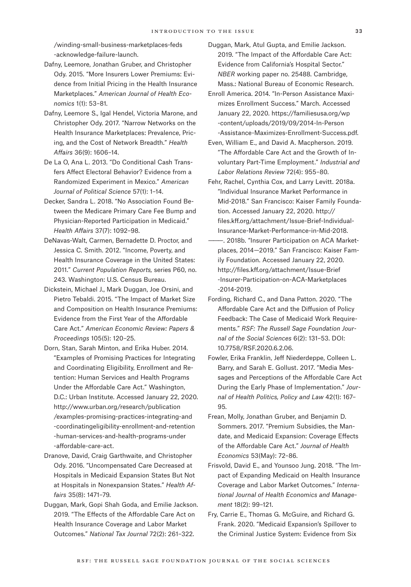[/winding-small-business-marketplaces-feds](http://chirblog.org/winding-small-business-marketplaces-feds-acknowledge-failure-launch) [-acknowledge-failure-launch](http://chirblog.org/winding-small-business-marketplaces-feds-acknowledge-failure-launch).

- Dafny, Leemore, Jonathan Gruber, and Christopher Ody. 2015. "More Insurers Lower Premiums: Evidence from Initial Pricing in the Health Insurance Marketplaces." *American Journal of Health Economics* 1(1): 53–81.
- Dafny, Leemore S., Igal Hendel, Victoria Marone, and Christopher Ody. 2017. "Narrow Networks on the Health Insurance Marketplaces: Prevalence, Pricing, and the Cost of Network Breadth." *Health Affairs* 36(9): 1606–14.
- De La O, Ana L. 2013. "Do Conditional Cash Transfers Affect Electoral Behavior? Evidence from a Randomized Experiment in Mexico." *American Journal of Political Science* 57(1): 1–14.
- Decker, Sandra L. 2018. "No Association Found Between the Medicare Primary Care Fee Bump and Physician-Reported Participation in Medicaid." *Health Affairs* 37(7): 1092–98.
- DeNavas-Walt, Carmen, Bernadette D. Proctor, and Jessica C. Smith. 2012. "Income, Poverty, and Health Insurance Coverage in the United States: 2011." *Current Population Reports,* series P60, no. 243. Washington: U.S. Census Bureau.
- Dickstein, Michael J., Mark Duggan, Joe Orsini, and Pietro Tebaldi. 2015. "The Impact of Market Size and Composition on Health Insurance Premiums: Evidence from the First Year of the Affordable Care Act." *American Economic Review: Papers & Proceedings* 105(5): 120–25.
- Dorn, Stan, Sarah Minton, and Erika Huber. 2014. "Examples of Promising Practices for Integrating and Coordinating Eligibility, Enrollment and Retention: Human Services and Health Programs Under the Affordable Care Act." Washington, D.C.: Urban Institute. Accessed January 22, 2020. [http://www.urban.org/research/publication](http://www.urban.org/research/publication/examples-promising-practices-integrating-and-coordinatingeligibility-enrollment-and-retention-human-services-and-health-programs-under-affordable-care-act) [/examples-promising-practices-integrating-and](http://www.urban.org/research/publication/examples-promising-practices-integrating-and-coordinatingeligibility-enrollment-and-retention-human-services-and-health-programs-under-affordable-care-act) [-coordinatingeligibility-enrollment-and-retention](http://www.urban.org/research/publication/examples-promising-practices-integrating-and-coordinatingeligibility-enrollment-and-retention-human-services-and-health-programs-under-affordable-care-act) [-human-services-and-health-programs-under](http://www.urban.org/research/publication/examples-promising-practices-integrating-and-coordinatingeligibility-enrollment-and-retention-human-services-and-health-programs-under-affordable-care-act) [-affordable-care-act.](http://www.urban.org/research/publication/examples-promising-practices-integrating-and-coordinatingeligibility-enrollment-and-retention-human-services-and-health-programs-under-affordable-care-act)
- Dranove, David, Craig Garthwaite, and Christopher Ody. 2016. "Uncompensated Care Decreased at Hospitals in Medicaid Expansion States But Not at Hospitals in Nonexpansion States." *Health Affairs* 35(8): 1471–79.
- Duggan, Mark, Gopi Shah Goda, and Emilie Jackson. 2019. "The Effects of the Affordable Care Act on Health Insurance Coverage and Labor Market Outcomes." *National Tax Journal* 72(2): 261–322.
- Duggan, Mark, Atul Gupta, and Emilie Jackson. 2019. "The Impact of the Affordable Care Act: Evidence from California's Hospital Sector." *NBER* working paper no. 25488. Cambridge, Mass.: National Bureau of Economic Research.
- Enroll America. 2014. "In-Person Assistance Maximizes Enrollment Success." March. Accessed January 22, 2020. [https://familiesusa.org/wp](https://familiesusa.org/wp-content/uploads/2019/09/2014-In-Person-Assistance-Maximizes-Enrollment-Success.pdf) [-content/uploads/2019/09/2014-In-Person](https://familiesusa.org/wp-content/uploads/2019/09/2014-In-Person-Assistance-Maximizes-Enrollment-Success.pdf) [-Assistance-Maximizes-Enrollment-Success.pdf.](https://familiesusa.org/wp-content/uploads/2019/09/2014-In-Person-Assistance-Maximizes-Enrollment-Success.pdf)
- Even, William E., and David A. Macpherson. 2019. "The Affordable Care Act and the Growth of Involuntary Part-Time Employment." *Industrial and Labor Relations Review* 72(4): 955–80.
- Fehr, Rachel, Cynthia Cox, and Larry Levitt. 2018a. "Individual Insurance Market Performance in Mid-2018." San Francisco: Kaiser Family Foundation. Accessed January 22, 2020. [http://](http://files.kff.org/attachment/Issue-Brief-Individual-Insurance-Market-Performance-in-Mid-2018) [files.kff.org/attachment/Issue-Brief-Individual-](http://files.kff.org/attachment/Issue-Brief-Individual-Insurance-Market-Performance-in-Mid-2018)[Insurance-Market-Performance-in-Mid-2018](http://files.kff.org/attachment/Issue-Brief-Individual-Insurance-Market-Performance-in-Mid-2018).
- ———. 2018b. "Insurer Participation on ACA Marketplaces, 2014—2019." San Francisco: Kaiser Family Foundation. Accessed January 22, 2020. [http://files.kff.org/attachment/Issue-Brief](http://files.kff.org/attachment/Issue-Brief-Insurer-Participation-on-ACA-Marketplaces-2014-2019) [-Insurer-Participation-on-ACA-Marketplaces](http://files.kff.org/attachment/Issue-Brief-Insurer-Participation-on-ACA-Marketplaces-2014-2019) [-2014-2019](http://files.kff.org/attachment/Issue-Brief-Insurer-Participation-on-ACA-Marketplaces-2014-2019).
- Fording, Richard C., and Dana Patton. 2020. "The Affordable Care Act and the Diffusion of Policy Feedback: The Case of Medicaid Work Requirements." *RSF: The Russell Sage Foundation Journal of the Social Sciences* 6(2): 131–53. DOI: 10.7758/RSF.2020.6.2.06.
- Fowler, Erika Franklin, Jeff Niederdeppe, Colleen L. Barry, and Sarah E. Gollust. 2017. "Media Messages and Perceptions of the Affordable Care Act During the Early Phase of Implementation." *Journal of Health Politics, Policy and Law* 42(1): 167– 95.
- Frean, Molly, Jonathan Gruber, and Benjamin D. Sommers. 2017. "Premium Subsidies, the Mandate, and Medicaid Expansion: Coverage Effects of the Affordable Care Act." *Journal of Health Economics* 53(May): 72–86.
- Frisvold, David E., and Younsoo Jung. 2018. "The Impact of Expanding Medicaid on Health Insurance Coverage and Labor Market Outcomes." *International Journal of Health Economics and Management* 18(2): 99–121.
- Fry, Carrie E., Thomas G. McGuire, and Richard G. Frank. 2020. "Medicaid Expansion's Spillover to the Criminal Justice System: Evidence from Six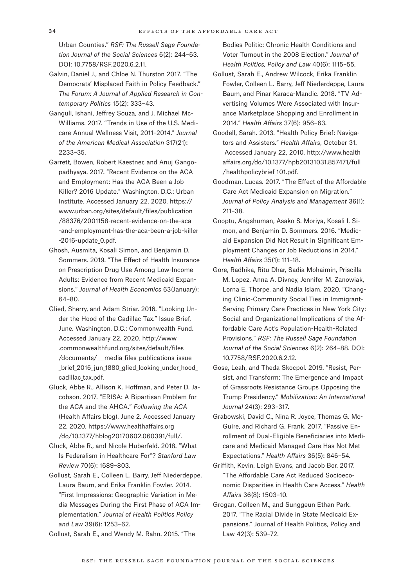Urban Counties." *RSF: The Russell Sage Foundation Journal of the Social Sciences* 6(2): 244–63. DOI: 10.7758/RSF.2020.6.2.11.

Galvin, Daniel J., and Chloe N. Thurston 2017. "The Democrats' Misplaced Faith in Policy Feedback." *The Forum: A Journal of Applied Research in Contemporary Politics* 15(2): 333–43.

Ganguli, Ishani, Jeffrey Souza, and J. Michael Mc-Williams. 2017. "Trends in Use of the U.S. Medicare Annual Wellness Visit, 2011–2014." *Journal of the American Medical Association* 317(21): 2233–35.

Garrett, Bowen, Robert Kaestner, and Anuj Gangopadhyaya. 2017. "Recent Evidence on the ACA and Employment: Has the ACA Been a Job Killer? 2016 Update." Washington, D.C.: Urban Institute. Accessed January 22, 2020. [https://](https://www.urban.org/sites/default/files/publication/88376/2001158-recent-evidence-on-the-aca-and-employment-has-the-aca-been-a-job-killer-2016-update_0.pdf) [www.urban.org/sites/default/files/publication](https://www.urban.org/sites/default/files/publication/88376/2001158-recent-evidence-on-the-aca-and-employment-has-the-aca-been-a-job-killer-2016-update_0.pdf) [/88376/2001158-recent-evidence-on-the-aca](https://www.urban.org/sites/default/files/publication/88376/2001158-recent-evidence-on-the-aca-and-employment-has-the-aca-been-a-job-killer-2016-update_0.pdf) [-and-employment-has-the-aca-been-a-job-killer](https://www.urban.org/sites/default/files/publication/88376/2001158-recent-evidence-on-the-aca-and-employment-has-the-aca-been-a-job-killer-2016-update_0.pdf) -2016-update 0.pdf.

Ghosh, Ausmita, Kosali Simon, and Benjamin D. Sommers. 2019. "The Effect of Health Insurance on Prescription Drug Use Among Low-Income Adults: Evidence from Recent Medicaid Expansions." *Journal of Health Economics* 63(January): 64–80.

Glied, Sherry, and Adam Striar. 2016. "Looking Under the Hood of the Cadillac Tax." Issue Brief, June. Washington, D.C.: Commonwealth Fund. Accessed January 22, 2020. [http://www](http://www.commonwealthfund.org/sites/default/files/documents/___media_files_publications_issue_brief_2016_jun_1880_glied_looking_under_hood_cadillac_tax.pdf) [.commonwealthfund.org/sites/default/files](http://www.commonwealthfund.org/sites/default/files/documents/___media_files_publications_issue_brief_2016_jun_1880_glied_looking_under_hood_cadillac_tax.pdf) [/documents/\\_\\_\\_media\\_files\\_publications\\_issue](http://www.commonwealthfund.org/sites/default/files/documents/___media_files_publications_issue_brief_2016_jun_1880_glied_looking_under_hood_cadillac_tax.pdf) brief 2016 jun 1880 glied looking under hood cadillac tax.pdf.

Gluck, Abbe R., Allison K. Hoffman, and Peter D. Jacobson. 2017. "ERISA: A Bipartisan Problem for the ACA and the AHCA." *Following the ACA* (Health Affairs blog), June 2. Accessed January 22, 2020. [https://www.healthaffairs.org](https://www.healthaffairs.org/do/10.1377/hblog20170602.060391/full/) [/do/10.1377/hblog20170602.060391/full/.](https://www.healthaffairs.org/do/10.1377/hblog20170602.060391/full/)

Gluck, Abbe R., and Nicole Huberfeld. 2018. "What Is Federalism in Healthcare For"? *Stanford Law Review* 70(6): 1689–803.

Gollust, Sarah E., Colleen L. Barry, Jeff Niederdeppe, Laura Baum, and Erika Franklin Fowler. 2014. "First Impressions: Geographic Variation in Media Messages During the First Phase of ACA Implementation." *Journal of Health Politics Policy and Law* 39(6): 1253–62.

Gollust, Sarah E., and Wendy M. Rahn. 2015. "The

Bodies Politic: Chronic Health Conditions and Voter Turnout in the 2008 Election." *Journal of Health Politics, Policy and Law* 40(6): 1115–55.

Gollust, Sarah E., Andrew Wilcock, Erika Franklin Fowler, Colleen L. Barry, Jeff Niederdeppe, Laura Baum, and Pinar Karaca-Mandic. 2018. "TV Advertising Volumes Were Associated with Insurance Marketplace Shopping and Enrollment in 2014." *Health Affairs* 37(6): 956–63.

Goodell, Sarah. 2013. "Health Policy Brief: Navigators and Assisters." *Health Affairs*, October 31. Accessed January 22, 2010. [http://www.health](http://www.healthaffairs.org/do/10.1377/hpb20131031.857471/full/healthpolicybrief_101.pdf) [affairs.org/do/10.1377/hpb20131031.857471/full](http://www.healthaffairs.org/do/10.1377/hpb20131031.857471/full/healthpolicybrief_101.pdf) [/healthpolicybrief\\_101.pdf.](http://www.healthaffairs.org/do/10.1377/hpb20131031.857471/full/healthpolicybrief_101.pdf)

Goodman, Lucas. 2017. "The Effect of the Affordable Care Act Medicaid Expansion on Migration." *Journal of Policy Analysis and Management* 36(1): 211–38.

Gooptu, Angshuman, Asako S. Moriya, Kosali I. Simon, and Benjamin D. Sommers. 2016. "Medicaid Expansion Did Not Result in Significant Employment Changes or Job Reductions in 2014." *Health Affairs* 35(1): 111–18.

Gore, Radhika, Ritu Dhar, Sadia Mohaimin, Priscilla M. Lopez, Anna A. Divney, Jennifer M. Zanowiak, Lorna E. Thorpe, and Nadia Islam. 2020. "Changing Clinic-Community Social Ties in Immigrant-Serving Primary Care Practices in New York City: Social and Organizational Implications of the Affordable Care Act's Population-Health-Related Provisions." *RSF: The Russell Sage Foundation Journal of the Social Sciences* 6(2): 264–88. DOI: 10.7758/RSF.2020.6.2.12.

Gose, Leah, and Theda Skocpol. 2019. "Resist, Persist, and Transform: The Emergence and Impact of Grassroots Resistance Groups Opposing the Trump Presidency." *Mobilization: An International Journal* 24(3): 293–317.

Grabowski, David C., Nina R. Joyce, Thomas G. Mc-Guire, and Richard G. Frank. 2017. "Passive Enrollment of Dual-Eligible Beneficiaries into Medicare and Medicaid Managed Care Has Not Met Expectations." *Health Affairs* 36(5): 846–54.

Griffith, Kevin, Leigh Evans, and Jacob Bor. 2017. "The Affordable Care Act Reduced Socioeconomic Disparities in Health Care Access." *Health Affairs* 36(8): 1503–10.

Grogan, Colleen M., and Sunggeun Ethan Park. 2017. "The Racial Divide in State Medicaid Expansions." Journal of Health Politics, Policy and Law 42(3): 539–72.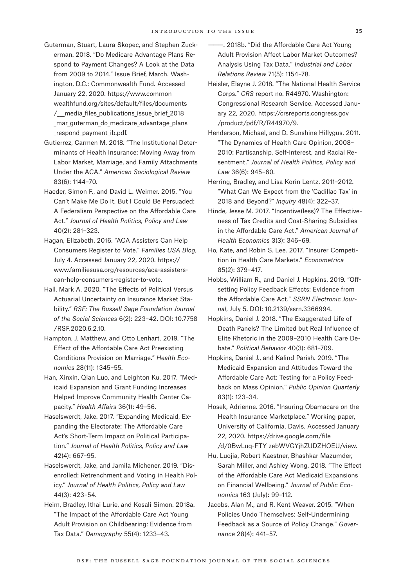- Guterman, Stuart, Laura Skopec, and Stephen Zuckerman. 2018. "Do Medicare Advantage Plans Respond to Payment Changes? A Look at the Data from 2009 to 2014." Issue Brief, March. Washington, D.C.: Commonwealth Fund. Accessed January 22, 2020. [https://www.common](https://www.commonwealthfund.org/sites/default/files/documents/___media_files_publications_issue_brief_2018_mar_guterman_do_medicare_advantage_plans_respond_payment_ib.pdf) [wealthfund.org/sites/default/files/documents](https://www.commonwealthfund.org/sites/default/files/documents/___media_files_publications_issue_brief_2018_mar_guterman_do_medicare_advantage_plans_respond_payment_ib.pdf) / media files publications issue brief 2018 mar guterman do medicare advantage plans respond payment ib.pdf.
- Gutierrez, Carmen M. 2018. "The Institutional Determinants of Health Insurance: Moving Away from Labor Market, Marriage, and Family Attachments Under the ACA." *American Sociological Review* 83(6): 1144–70.
- Haeder, Simon F., and David L. Weimer. 2015. "You Can't Make Me Do It, But I Could Be Persuaded: A Federalism Perspective on the Affordable Care Act." *Journal of Health Politics, Policy and Law*  40(2): 281–323.
- Hagan, Elizabeth. 2016. "ACA Assisters Can Help Consumers Register to Vote." *Families USA Blog*, July 4. Accessed January 22, 2020. [https://](https://www.familiesusa.org/resources/aca-assisters-can-help-consumers-register-to-vote) [www.familiesusa.org/resources/aca-assisters](https://www.familiesusa.org/resources/aca-assisters-can-help-consumers-register-to-vote)[can-help-consumers-register-to-vote](https://www.familiesusa.org/resources/aca-assisters-can-help-consumers-register-to-vote).
- Hall, Mark A. 2020. "The Effects of Political Versus Actuarial Uncertainty on Insurance Market Stability." *RSF: The Russell Sage Foundation Journal of the Social Sciences* 6(2): 223–42. DOI: 10.7758 /RSF.2020.6.2.10.
- Hampton, J. Matthew, and Otto Lenhart. 2019. "The Effect of the Affordable Care Act Preexisting Conditions Provision on Marriage." *Health Economics* 28(11): 1345–55.
- Han, Xinxin, Qian Luo, and Leighton Ku. 2017. "Medicaid Expansion and Grant Funding Increases Helped Improve Community Health Center Capacity." *Health Affairs* 36(1): 49–56.
- Haselswerdt, Jake. 2017. "Expanding Medicaid, Expanding the Electorate: The Affordable Care Act's Short-Term Impact on Political Participation." *Journal of Health Politics, Policy and Law* 42(4): 667–95.
- Haselswerdt, Jake, and Jamila Michener. 2019. "Disenrolled: Retrenchment and Voting in Health Policy." *Journal of Health Politics, Policy and Law*  44(3): 423–54.
- Heim, Bradley, Ithai Lurie, and Kosali Simon. 2018a. "The Impact of the Affordable Care Act Young Adult Provision on Childbearing: Evidence from Tax Data." *Demography* 55(4): 1233–43.
- $-$ , 2018b. "Did the Affordable Care Act Young Adult Provision Affect Labor Market Outcomes? Analysis Using Tax Data." *Industrial and Labor Relations Review* 71(5): 1154–78.
- Heisler, Elayne J. 2018. "The National Health Service Corps." *CRS* report no. R44970. Washington: Congressional Research Service. Accessed January 22, 2020. [https://crsreports.congress.gov](https://crsreports.congress.gov/product/pdf/R/R44970/9) [/product/pdf/R/R44970/9.](https://crsreports.congress.gov/product/pdf/R/R44970/9)
- Henderson, Michael, and D. Sunshine Hillygus. 2011. "The Dynamics of Health Care Opinion, 2008– 2010: Partisanship, Self-Interest, and Racial Resentment." *Journal of Health Politics, Policy and Law* 36(6): 945–60.
- Herring, Bradley, and Lisa Korin Lentz. 2011–2012. "What Can We Expect from the 'Cadillac Tax' in 2018 and Beyond?" *Inquiry* 48(4): 322–37.
- Hinde, Jesse M. 2017. "Incentive(less)? The Effectiveness of Tax Credits and Cost-Sharing Subsidies in the Affordable Care Act." *American Journal of Health Economics* 3(3): 346–69.
- Ho, Kate, and Robin S. Lee. 2017. "Insurer Competition in Health Care Markets." *Econometrica* 85(2): 379–417.
- Hobbs, William R., and Daniel J. Hopkins. 2019. "Offsetting Policy Feedback Effects: Evidence from the Affordable Care Act." *SSRN Electronic Journal*, July 5. [DOI:](file:///C:\Users\marcelo\Box\Publications\production_editor\Journal%20Campbell%20Shore-Sheppard\copyedited%20articles\DOI) 10.2139/ssrn.3366994.
- Hopkins, Daniel J. 2018. "The Exaggerated Life of Death Panels? The Limited but Real Influence of Elite Rhetoric in the 2009–2010 Health Care Debate." *Political Behavior* 40(3): 681–709.
- Hopkins, Daniel J., and Kalind Parish. 2019. "The Medicaid Expansion and Attitudes Toward the Affordable Care Act: Testing for a Policy Feedback on Mass Opinion." *Public Opinion Quarterly* 83(1): 123–34.
- Hosek, Adrienne. 2016. "Insuring Obamacare on the Health Insurance Marketplace." Working paper, University of California, Davis. Accessed January 22, 2020. [https://drive.google.com/file](https://drive.google.com/file/d/0BwLuq-FTY_zebWVGYjhZUDZHOEU/view) [/d/0BwLuq-FTY\\_zebWVGYjhZUDZHOEU/view](https://drive.google.com/file/d/0BwLuq-FTY_zebWVGYjhZUDZHOEU/view).
- Hu, Luojia, Robert Kaestner, Bhashkar Mazumder, Sarah Miller, and Ashley Wong. 2018. "The Effect of the Affordable Care Act Medicaid Expansions on Financial Wellbeing." *Journal of Public Economics* 163 (July): 99–112.
- Jacobs, Alan M., and R. Kent Weaver. 2015. "When Policies Undo Themselves: Self-Undermining Feedback as a Source of Policy Change." *Governance* 28(4): 441–57.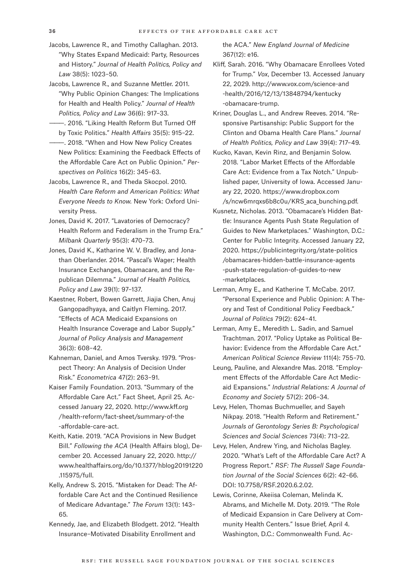- Jacobs, Lawrence R., and Timothy Callaghan. 2013. "Why States Expand Medicaid: Party, Resources and History." *Journal of Health Politics, Policy and Law* 38(5): 1023–50.
- Jacobs, Lawrence R., and Suzanne Mettler. 2011. "Why Public Opinion Changes: The Implications for Health and Health Policy." *Journal of Health Politics, Policy and Law* 36(6): 917–33.
- ———. 2016. "Liking Health Reform But Turned Off by Toxic Politics." *Health Affairs* 35(5): 915–22.
- ———. 2018. "When and How New Policy Creates New Politics: Examining the Feedback Effects of the Affordable Care Act on Public Opinion." *Perspectives on Politics* 16(2): 345–63.
- Jacobs, Lawrence R., and Theda Skocpol. 2010. *Health Care Reform and American Politics: What Everyone Needs to Know.* New York: Oxford University Press.
- Jones, David K. 2017. "Lavatories of Democracy? Health Reform and Federalism in the Trump Era." *Milbank Quarterly* 95(3): 470–73.
- Jones, David K., Katharine W. V. Bradley, and Jonathan Oberlander. 2014. "Pascal's Wager; Health Insurance Exchanges, Obamacare, and the Republican Dilemma." *Journal of Health Politics, Policy and Law* 39(1): 97–137.
- Kaestner, Robert, Bowen Garrett, Jiajia Chen, Anuj Gangopadhyaya, and Caitlyn Fleming. 2017. "Effects of ACA Medicaid Expansions on Health Insurance Coverage and Labor Supply." *Journal of Policy Analysis and Management* 36(3): 608–42.
- Kahneman, Daniel, and Amos Tversky. 1979. "Prospect Theory: An Analysis of Decision Under Risk." *Econometrica* 47(2): 263–91.
- Kaiser Family Foundation. 2013. "Summary of the Affordable Care Act." Fact Sheet, April 25. Accessed January 22, 2020. [http://www.kff.org](http://www.kff.org/health-reform/fact-sheet/summary-of-the-affordable-care-act) [/health-reform/fact-sheet/summary-of-the](http://www.kff.org/health-reform/fact-sheet/summary-of-the-affordable-care-act) [-affordable-care-act.](http://www.kff.org/health-reform/fact-sheet/summary-of-the-affordable-care-act)
- Keith, Katie. 2019. "ACA Provisions in New Budget Bill." *Following the ACA* (Health Affairs blog), December 20. Accessed January 22, 2020. [http://](http://www.healthaffairs.org/do/10.1377/hblog20191220.115975/full) [www.healthaffairs.org/do/10.1377/hblog20191220](http://www.healthaffairs.org/do/10.1377/hblog20191220.115975/full) [.115975/full.](http://www.healthaffairs.org/do/10.1377/hblog20191220.115975/full)
- Kelly, Andrew S. 2015. "Mistaken for Dead: The Affordable Care Act and the Continued Resilience of Medicare Advantage." *The Forum* 13(1): 143– 65.
- Kennedy, Jae, and Elizabeth Blodgett. 2012. "Health Insurance–Motivated Disability Enrollment and

the ACA." *New England Journal of Medicine* 367(12): e16.

- Kliff, Sarah. 2016. "Why Obamacare Enrollees Voted for Trump." *Vox*, December 13. Accessed January 22, 2029. [http://www.vox.com/science-and](http://www.vox.com/science-and-health/2016/12/13/13848794/kentucky-obamacare-trump) [-health/2016/12/13/13848794/kentucky](http://www.vox.com/science-and-health/2016/12/13/13848794/kentucky-obamacare-trump) [-obamacare-trump](http://www.vox.com/science-and-health/2016/12/13/13848794/kentucky-obamacare-trump).
- Kriner, Douglas L., and Andrew Reeves. 2014. "Responsive Partisanship: Public Support for the Clinton and Obama Health Care Plans." *Journal of Health Politics, Policy and Law* 39(4): 717–49.
- Kucko, Kavan, Kevin Rinz, and Benjamin Solow. 2018. "Labor Market Effects of the Affordable Care Act: Evidence from a Tax Notch." Unpublished paper, University of Iowa. Accessed January 22, 2020. [https://www.dropbox.com](https://www.dropbox.com/s/ncw6mrqxs6b8c0u/KRS_aca_bunching.pdf) [/s/ncw6mrqxs6b8c0u/KRS\\_aca\\_bunching.pdf.](https://www.dropbox.com/s/ncw6mrqxs6b8c0u/KRS_aca_bunching.pdf)
- Kusnetz, Nicholas. 2013. "Obamacare's Hidden Battle: Insurance Agents Push State Regulation of Guides to New Marketplaces." Washington, D.C.: Center for Public Integrity. Accessed January 22, 2020. [https://publicintegrity.org/state-politics](https://publicintegrity.org/state-politics/obamacares-hidden-battle-insurance-agents-push-state-regulation-of-guides-to-new-marketplaces) [/obamacares-hidden-battle-insurance-agents](https://publicintegrity.org/state-politics/obamacares-hidden-battle-insurance-agents-push-state-regulation-of-guides-to-new-marketplaces) [-push-state-regulation-of-guides-to-new](https://publicintegrity.org/state-politics/obamacares-hidden-battle-insurance-agents-push-state-regulation-of-guides-to-new-marketplaces) [-marketplaces.](https://publicintegrity.org/state-politics/obamacares-hidden-battle-insurance-agents-push-state-regulation-of-guides-to-new-marketplaces)
- Lerman, Amy E., and Katherine T. McCabe. 2017. "Personal Experience and Public Opinion: A Theory and Test of Conditional Policy Feedback." *Journal of Politics* 79(2): 624–41.
- Lerman, Amy E., Meredith L. Sadin, and Samuel Trachtman. 2017. "Policy Uptake as Political Behavior: Evidence from the Affordable Care Act." *American Political Science Review* 111(4): 755–70.
- Leung, Pauline, and Alexandre Mas. 2018. "Employment Effects of the Affordable Care Act Medicaid Expansions." *Industrial Relations: A Journal of Economy and Society* 57(2): 206–34.
- Levy, Helen, Thomas Buchmueller, and Sayeh Nikpay. 2018. "Health Reform and Retirement." *Journals of Gerontology Series B: Psychological Sciences and Social Sciences* 73(4): 713–22.
- Levy, Helen, Andrew Ying, and Nicholas Bagley. 2020. "What's Left of the Affordable Care Act? A Progress Report." *RSF: The Russell Sage Foundation Journal of the Social Sciences* 6(2): 42–66. DOI: 10.7758/RSF.2020.6.2.02.
- Lewis, Corinne, Akeiisa Coleman, Melinda K. Abrams, and Michelle M. Doty. 2019. "The Role of Medicaid Expansion in Care Delivery at Community Health Centers." Issue Brief, April 4. Washington, D.C.: Commonwealth Fund. Ac-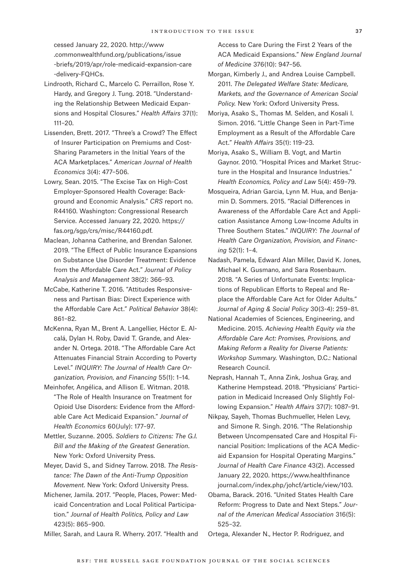cessed January 22, 2020. [http://www](http://www.commonwealthfund.org/publications/issue-briefs/2019/apr/role-medicaid-expansion-care-delivery-FQHCs) [.commonwealthfund.org/publications/issue](http://www.commonwealthfund.org/publications/issue-briefs/2019/apr/role-medicaid-expansion-care-delivery-FQHCs) [-briefs/2019/apr/role-medicaid-expansion-care](http://www.commonwealthfund.org/publications/issue-briefs/2019/apr/role-medicaid-expansion-care-delivery-FQHCs) [-delivery-FQHCs.](http://www.commonwealthfund.org/publications/issue-briefs/2019/apr/role-medicaid-expansion-care-delivery-FQHCs)

- Lindrooth, Richard C., Marcelo C. Perraillon, Rose Y. Hardy, and Gregory J. Tung. 2018. "Understanding the Relationship Between Medicaid Expansions and Hospital Closures." *Health Affairs* 37(1): 111–20.
- Lissenden, Brett. 2017. "Three's a Crowd? The Effect of Insurer Participation on Premiums and Cost-Sharing Parameters in the Initial Years of the ACA Marketplaces." *American Journal of Health Economics* 3(4): 477–506.
- Lowry, Sean. 2015. "The Excise Tax on High-Cost Employer-Sponsored Health Coverage: Background and Economic Analysis." *CRS* report no. R44160. Washington: Congressional Research Service. Accessed January 22, 2020. [https://](https://fas.org/sgp/crs/misc/R44160.pdf) [fas.org/sgp/crs/misc/R44160.pdf](https://fas.org/sgp/crs/misc/R44160.pdf).
- Maclean, Johanna Catherine, and Brendan Saloner. 2019. "The Effect of Public Insurance Expansions on Substance Use Disorder Treatment: Evidence from the Affordable Care Act." *Journal of Policy Analysis and Management* 38(2): 366–93.
- McCabe, Katherine T. 2016. "Attitudes Responsiveness and Partisan Bias: Direct Experience with the Affordable Care Act." *Political Behavior* 38(4): 861–82.
- McKenna, Ryan M., Brent A. Langellier, Héctor E. Alcalá, Dylan H. Roby, David T. Grande, and Alexander N. Ortega. 2018. "The Affordable Care Act Attenuates Financial Strain According to Poverty Level." *INQUIRY: The Journal of Health Care Organization, Provision, and Financing* 55(1): 1–14.
- Meinhofer, Angélica, and Allison E. Witman. 2018. "The Role of Health Insurance on Treatment for Opioid Use Disorders: Evidence from the Affordable Care Act Medicaid Expansion." *Journal of Health Economics* 60(July): 177–97.
- Mettler, Suzanne. 2005. *Soldiers to Citizens: The G.I. Bill and the Making of the Greatest Generation*. New York: Oxford University Press.
- Meyer, David S., and Sidney Tarrow. 2018. *The Resistance: The Dawn of the Anti-Trump Opposition Movement.* New York: Oxford University Press.
- Michener, Jamila. 2017. "People, Places, Power: Medicaid Concentration and Local Political Participation." *Journal of Health Politics, Policy and Law*  423(5): 865–900.

Miller, Sarah, and Laura R. Wherry. 2017. "Health and

Access to Care During the First 2 Years of the ACA Medicaid Expansions." *New England Journal of Medicine* 376(10): 947–56.

- Morgan, Kimberly J., and Andrea Louise Campbell. 2011. *The Delegated Welfare State: Medicare, Markets, and the Governance of American Social Policy.* New York: Oxford University Press.
- Moriya, Asako S., Thomas M. Selden, and Kosali I. Simon. 2016. "Little Change Seen in Part-Time Employment as a Result of the Affordable Care Act." *Health Affairs* 35(1): 119–23.
- Moriya, Asako S., William B. Vogt, and Martin Gaynor. 2010. "Hospital Prices and Market Structure in the Hospital and Insurance Industries." *Health Economics, Policy and Law* 5(4): 459–79.
- Mosqueira, Adrian Garcia, Lynn M. Hua, and Benjamin D. Sommers. 2015. "Racial Differences in Awareness of the Affordable Care Act and Application Assistance Among Low-Income Adults in Three Southern States." *INQUIRY: The Journal of Health Care Organization, Provision, and Financing* 52(1): 1–4.
- Nadash, Pamela, Edward Alan Miller, David K. Jones, Michael K. Gusmano, and Sara Rosenbaum. 2018. "A Series of Unfortunate Events: Implications of Republican Efforts to Repeal and Replace the Affordable Care Act for Older Adults." *Journal of Aging & Social Policy* 30(3-4): 259–81.
- National Academies of Sciences, Engineering, and Medicine. 2015. *Achieving Health Equity via the Affordable Care Act: Promises, Provisions, and Making Reform a Reality for Diverse Patients: Workshop Summary.* Washington, D.C.: National Research Council.
- Neprash, Hannah T., Anna Zink, Joshua Gray, and Katherine Hempstead. 2018. "Physicians' Participation in Medicaid Increased Only Slightly Following Expansion." *Health Affairs* 37(7): 1087–91.
- Nikpay, Sayeh, Thomas Buchmueller, Helen Levy, and Simone R. Singh. 2016. "The Relationship Between Uncompensated Care and Hospital Financial Position: Implications of the ACA Medicaid Expansion for Hospital Operating Margins." *Journal of Health Care Finance* 43(2). Accessed January 22, 2020. [https://www.healthfinance](https://www.healthfinancejournal.com/index.php/johcf/article/view/103) [journal.com/index.php/johcf/article/view/103.](https://www.healthfinancejournal.com/index.php/johcf/article/view/103)
- Obama, Barack. 2016. "United States Health Care Reform: Progress to Date and Next Steps." *Journal of the American Medical Association* 316(5): 525–32.

Ortega, Alexander N., Hector P. Rodriguez, and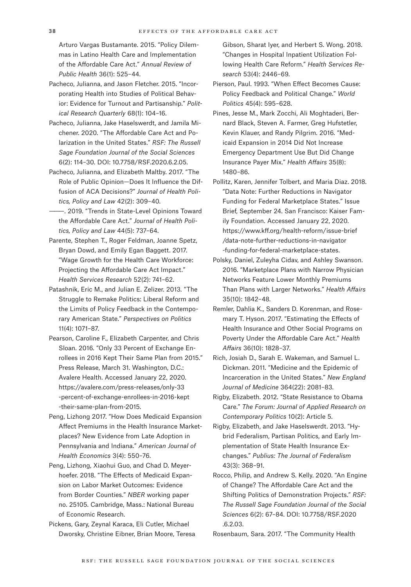Arturo Vargas Bustamante. 2015. "Policy Dilemmas in Latino Health Care and Implementation of the Affordable Care Act." *Annual Review of Public Health* 36(1): 525–44.

- Pacheco, Julianna, and Jason Fletcher. 2015. "Incorporating Health into Studies of Political Behavior: Evidence for Turnout and Partisanship." *Political Research Quarterly* 68(1): 104–16.
- Pacheco, Julianna, Jake Haselswerdt, and Jamila Michener. 2020. "The Affordable Care Act and Polarization in the United States." *RSF: The Russell Sage Foundation Journal of the Social Sciences* 6(2): 114–30. DOI: 10.7758/RSF.2020.6.2.05.
- Pacheco, Julianna, and Elizabeth Maltby. 2017. "The Role of Public Opinion—Does It Influence the Diffusion of ACA Decisions?" *Journal of Health Politics, Policy and Law* 42(2): 309–40.
- -. 2019. "Trends in State-Level Opinions Toward the Affordable Care Act." *Journal of Health Politics, Policy and Law* 44(5): 737–64.
- Parente, Stephen T., Roger Feldman, Joanne Spetz, Bryan Dowd, and Emily Egan Baggett. 2017. "Wage Growth for the Health Care Workforce: Projecting the Affordable Care Act Impact." *Health Services Research* 52(2): 741–62.
- Patashnik, Eric M., and Julian E. Zelizer. 2013. "The Struggle to Remake Politics: Liberal Reform and the Limits of Policy Feedback in the Contemporary American State." *Perspectives on Politics* 11(4): 1071–87.
- Pearson, Caroline F., Elizabeth Carpenter, and Chris Sloan. 2016. "Only 33 Percent of Exchange Enrollees in 2016 Kept Their Same Plan from 2015." Press Release, March 31. Washington, D.C.: Avalere Health. Accessed January 22, 2020. [https://avalere.com/press-releases/only-33](https://avalere.com/press-releases/only-33-percent-of-exchange-enrollees-in-2016-kept-their-same-plan-from-2015) [-percent-of-exchange-enrollees-in-2016-kept](https://avalere.com/press-releases/only-33-percent-of-exchange-enrollees-in-2016-kept-their-same-plan-from-2015) [-their-same-plan-from-2015](https://avalere.com/press-releases/only-33-percent-of-exchange-enrollees-in-2016-kept-their-same-plan-from-2015).
- Peng, Lizhong 2017. "How Does Medicaid Expansion Affect Premiums in the Health Insurance Marketplaces? New Evidence from Late Adoption in Pennsylvania and Indiana." *American Journal of Health Economics* 3(4): 550–76.
- Peng, Lizhong, Xiaohui Guo, and Chad D. Meyerhoefer. 2018. "The Effects of Medicaid Expansion on Labor Market Outcomes: Evidence from Border Counties." *NBER* working paper no. 25105. Cambridge, Mass.: National Bureau of Economic Research.
- Pickens, Gary, Zeynal Karaca, Eli Cutler, Michael Dworsky, Christine Eibner, Brian Moore, Teresa

Gibson, Sharat Iyer, and Herbert S. Wong. 2018. "Changes in Hospital Inpatient Utilization Following Health Care Reform." *Health Services Research* 53(4): 2446–69.

Pierson, Paul. 1993. "When Effect Becomes Cause: Policy Feedback and Political Change." *World Politics* 45(4): 595–628.

- Pines, Jesse M., Mark Zocchi, Ali Moghtaderi, Bernard Black, Steven A. Farmer, Greg Hufstetler, Kevin Klauer, and Randy Pilgrim. 2016. "Medicaid Expansion in 2014 Did Not Increase Emergency Department Use But Did Change Insurance Payer Mix." *Health Affairs* 35(8): 1480–86.
- Pollitz, Karen, Jennifer Tolbert, and Maria Diaz. 2018. "Data Note: Further Reductions in Navigator Funding for Federal Marketplace States." Issue Brief, September 24. San Francisco: Kaiser Family Foundation. Accessed January 22, 2020. [https://www.kff.org/health-reform/issue-brief](https://www.kff.org/health-reform/issue-brief/data-note-further-reductions-in-navigator-funding-for-federal-marketplace-states) [/data-note-further-reductions-in-navigator](https://www.kff.org/health-reform/issue-brief/data-note-further-reductions-in-navigator-funding-for-federal-marketplace-states) [-funding-for-federal-marketplace-states](https://www.kff.org/health-reform/issue-brief/data-note-further-reductions-in-navigator-funding-for-federal-marketplace-states).
- Polsky, Daniel, Zuleyha Cidav, and Ashley Swanson. 2016. "Marketplace Plans with Narrow Physician Networks Feature Lower Monthly Premiums Than Plans with Larger Networks." *Health Affairs* 35(10): 1842–48.
- Remler, Dahlia K., Sanders D. Korenman, and Rosemary T. Hyson. 2017. "Estimating the Effects of Health Insurance and Other Social Programs on Poverty Under the Affordable Care Act." *Health Affairs* 36(10): 1828–37.
- Rich, Josiah D., Sarah E. Wakeman, and Samuel L. Dickman. 2011. "Medicine and the Epidemic of Incarceration in the United States." *New England Journal of Medicine* 364(22): 2081–83.
- Rigby, Elizabeth. 2012. "State Resistance to Obama Care." *The Forum: Journal of Applied Research on Contemporary Politics* 10(2): Article 5.
- Rigby, Elizabeth, and Jake Haselswerdt. 2013. "Hybrid Federalism, Partisan Politics, and Early Implementation of State Health Insurance Exchanges." *Publius: The Journal of Federalism* 43(3): 368–91.
- Rocco, Philip, and Andrew S. Kelly. 2020. "An Engine of Change? The Affordable Care Act and the Shifting Politics of Demonstration Projects." *RSF: The Russell Sage Foundation Journal of the Social Sciences* 6(2): 67–84. DOI: 10.7758/RSF.2020 .6.2.03.
- Rosenbaum, Sara. 2017. "The Community Health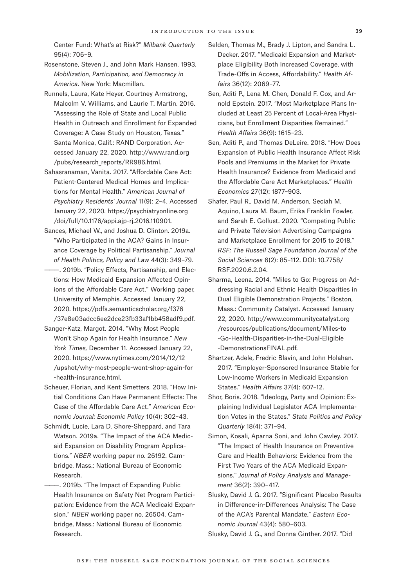Center Fund: What's at Risk?" *Milbank Quarterly*  95(4): 706–9.

Rosenstone, Steven J., and John Mark Hansen. 1993. *Mobilization, Participation, and Democracy in America.* New York: Macmillan.

- Runnels, Laura, Kate Heyer, Courtney Armstrong, Malcolm V. Williams, and Laurie T. Martin. 2016. "Assessing the Role of State and Local Public Health in Outreach and Enrollment for Expanded Coverage: A Case Study on Houston, Texas." Santa Monica, Calif.: RAND Corporation. Accessed January 22, 2020. [http://www.rand.org](http://www.rand.org/pubs/research_reports/RR986.html) [/pubs/research\\_reports/RR986.html](http://www.rand.org/pubs/research_reports/RR986.html).
- Sahasranaman, Vanita. 2017. "Affordable Care Act: Patient-Centered Medical Homes and Implications for Mental Health." *American Journal of Psychiatry Residents' Journal* 11(9): 2–4. Accessed January 22, 2020. [https://psychiatryonline.org](https://psychiatryonline.org/doi/full/10.1176/appi.ajp-rj.2016.110901) [/doi/full/10.1176/appi.ajp-rj.2016.110901.](https://psychiatryonline.org/doi/full/10.1176/appi.ajp-rj.2016.110901)
- Sances, Michael W., and Joshua D. Clinton. 2019a. "Who Participated in the ACA? Gains in Insurance Coverage by Political Partisanship." *Journal of Health Politics, Policy and Law* 44(3): 349–79.
- ———. 2019b. "Policy Effects, Partisanship, and Elections: How Medicaid Expansion Affected Opinions of the Affordable Care Act." Working paper, University of Memphis. Accessed January 22, 2020. [https://pdfs.semanticscholar.org/f376](https://pdfs.semanticscholar.org/f376/37e8e03adcc6ee2dce23fb33af1bb458adf9.pdf) [/37e8e03adcc6ee2dce23fb33af1bb458adf9.pdf](https://pdfs.semanticscholar.org/f376/37e8e03adcc6ee2dce23fb33af1bb458adf9.pdf).
- Sanger-Katz, Margot. 2014. "Why Most People Won't Shop Again for Health Insurance." *New York Times,* December 11. Accessed January 22, 2020. [https://www.nytimes.com/2014/12/12](https://www.nytimes.com/2014/12/12/upshot/why-most-people-wont-shop-again-for-health-insurance.html) [/upshot/why-most-people-wont-shop-again-for](https://www.nytimes.com/2014/12/12/upshot/why-most-people-wont-shop-again-for-health-insurance.html) [-health-insurance.html](https://www.nytimes.com/2014/12/12/upshot/why-most-people-wont-shop-again-for-health-insurance.html).
- Scheuer, Florian, and Kent Smetters. 2018. "How Initial Conditions Can Have Permanent Effects: The Case of the Affordable Care Act." *American Economic Journal: Economic Policy* 10(4): 302–43.
- Schmidt, Lucie, Lara D. Shore-Sheppard, and Tara Watson. 2019a. "The Impact of the ACA Medicaid Expansion on Disability Program Applications." *NBER* working paper no. 26192. Cambridge, Mass.: National Bureau of Economic Research.
	- -. 2019b. "The Impact of Expanding Public Health Insurance on Safety Net Program Participation: Evidence from the ACA Medicaid Expansion." *NBER* working paper no. 26504. Cambridge, Mass.: National Bureau of Economic Research.
- Selden, Thomas M., Brady J. Lipton, and Sandra L. Decker. 2017. "Medicaid Expansion and Marketplace Eligibility Both Increased Coverage, with Trade-Offs in Access, Affordability." *Health Affairs* 36(12): 2069–77.
- Sen, Aditi P., Lena M. Chen, Donald F. Cox, and Arnold Epstein. 2017. "Most Marketplace Plans Included at Least 25 Percent of Local-Area Physicians, but Enrollment Disparities Remained." *Health Affairs* 36(9): 1615–23.
- Sen, Aditi P., and Thomas DeLeire. 2018. "How Does Expansion of Public Health Insurance Affect Risk Pools and Premiums in the Market for Private Health Insurance? Evidence from Medicaid and the Affordable Care Act Marketplaces." *Health Economics* 27(12): 1877–903.
- Shafer, Paul R., David M. Anderson, Seciah M. Aquino, Laura M. Baum, Erika Franklin Fowler, and Sarah E. Gollust. 2020. "Competing Public and Private Television Advertising Campaigns and Marketplace Enrollment for 2015 to 2018." *RSF: The Russell Sage Foundation Journal of the Social Sciences* 6(2): 85–112. DOI: 10.7758/ RSF.2020.6.2.04.
- Sharma, Leena. 2014. "Miles to Go: Progress on Addressing Racial and Ethnic Health Disparities in Dual Eligible Demonstration Projects." Boston, Mass.: Community Catalyst. Accessed January 22, 2020. [http://www.communitycatalyst.org](http://www.communitycatalyst.org/resources/publications/document/Miles-to-Go-Health-Disparities-in-the-Dual-Eligible-DemonstrationsFINAL.pdf) [/resources/publications/document/Miles-to](http://www.communitycatalyst.org/resources/publications/document/Miles-to-Go-Health-Disparities-in-the-Dual-Eligible-DemonstrationsFINAL.pdf) [-Go-Health-Disparities-in-the-Dual-Eligible](http://www.communitycatalyst.org/resources/publications/document/Miles-to-Go-Health-Disparities-in-the-Dual-Eligible-DemonstrationsFINAL.pdf) [-DemonstrationsFINAL.pdf](http://www.communitycatalyst.org/resources/publications/document/Miles-to-Go-Health-Disparities-in-the-Dual-Eligible-DemonstrationsFINAL.pdf).
- Shartzer, Adele, Fredric Blavin, and John Holahan. 2017. "Employer-Sponsored Insurance Stable for Low-Income Workers in Medicaid Expansion States." *Health Affairs* 37(4): 607–12.
- Shor, Boris. 2018. "Ideology, Party and Opinion: Explaining Individual Legislator ACA Implementation Votes in the States." *State Politics and Policy Quarterly* 18(4): 371–94.
- Simon, Kosali, Aparna Soni, and John Cawley. 2017. "The Impact of Health Insurance on Preventive Care and Health Behaviors: Evidence from the First Two Years of the ACA Medicaid Expansions." *Journal of Policy Analysis and Management* 36(2): 390–417.
- Slusky, David J. G. 2017. "Significant Placebo Results in Difference-in-Differences Analysis: The Case of the ACA's Parental Mandate." *Eastern Economic Journal* 43(4): 580–603.

Slusky, David J. G., and Donna Ginther. 2017. "Did